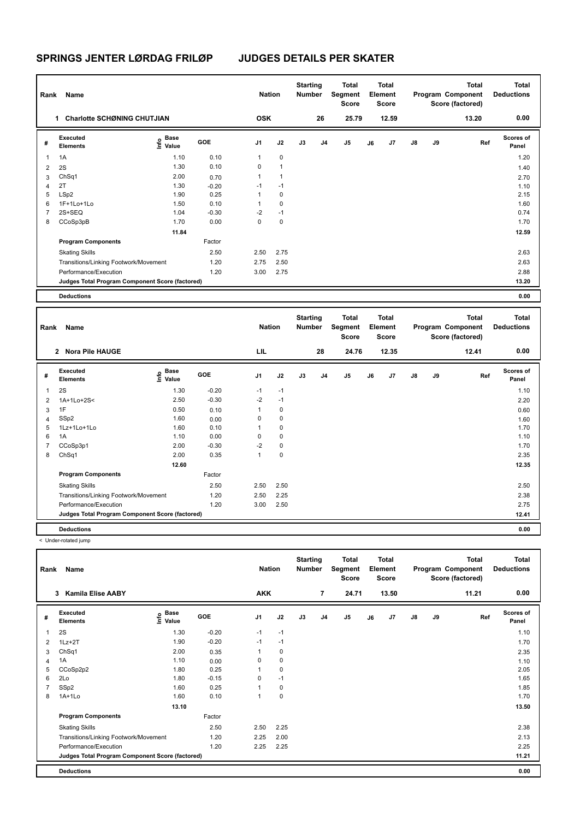| Rank           | Name                                            |                           |         | <b>Nation</b>  |                      | <b>Starting</b><br><b>Number</b> |    | <b>Total</b><br>Segment<br><b>Score</b> |    | Total<br>Element<br><b>Score</b> |               |    | <b>Total</b><br>Program Component<br>Score (factored) | <b>Total</b><br><b>Deductions</b> |
|----------------|-------------------------------------------------|---------------------------|---------|----------------|----------------------|----------------------------------|----|-----------------------------------------|----|----------------------------------|---------------|----|-------------------------------------------------------|-----------------------------------|
|                | <b>Charlotte SCHØNING CHUTJIAN</b><br>1.        |                           |         | <b>OSK</b>     |                      |                                  | 26 | 25.79                                   |    | 12.59                            |               |    | 13.20                                                 | 0.00                              |
| #              | Executed<br><b>Elements</b>                     | Base<br>o Base<br>⊆ Value | GOE     | J <sub>1</sub> | J2                   | J3                               | J4 | J <sub>5</sub>                          | J6 | J7                               | $\mathsf{J}8$ | J9 | Ref                                                   | <b>Scores of</b><br>Panel         |
| $\mathbf{1}$   | 1A                                              | 1.10                      | 0.10    | 1              | $\pmb{0}$            |                                  |    |                                         |    |                                  |               |    |                                                       | 1.20                              |
| $\overline{2}$ | 2S                                              | 1.30                      | 0.10    | 0              | $\blacktriangleleft$ |                                  |    |                                         |    |                                  |               |    |                                                       | 1.40                              |
| 3              | ChSq1                                           | 2.00                      | 0.70    | 1              | $\mathbf{1}$         |                                  |    |                                         |    |                                  |               |    |                                                       | 2.70                              |
| 4              | 2T                                              | 1.30                      | $-0.20$ | $-1$           | $-1$                 |                                  |    |                                         |    |                                  |               |    |                                                       | 1.10                              |
| 5              | LSp2                                            | 1.90                      | 0.25    | 1              | 0                    |                                  |    |                                         |    |                                  |               |    |                                                       | 2.15                              |
| 6              | 1F+1Lo+1Lo                                      | 1.50                      | 0.10    | 1              | 0                    |                                  |    |                                         |    |                                  |               |    |                                                       | 1.60                              |
| 7              | 2S+SEQ                                          | 1.04                      | $-0.30$ | $-2$           | $-1$                 |                                  |    |                                         |    |                                  |               |    |                                                       | 0.74                              |
| 8              | CCoSp3pB                                        | 1.70                      | 0.00    | 0              | $\pmb{0}$            |                                  |    |                                         |    |                                  |               |    |                                                       | 1.70                              |
|                |                                                 | 11.84                     |         |                |                      |                                  |    |                                         |    |                                  |               |    |                                                       | 12.59                             |
|                | <b>Program Components</b>                       |                           | Factor  |                |                      |                                  |    |                                         |    |                                  |               |    |                                                       |                                   |
|                | <b>Skating Skills</b>                           |                           | 2.50    | 2.50           | 2.75                 |                                  |    |                                         |    |                                  |               |    |                                                       | 2.63                              |
|                | Transitions/Linking Footwork/Movement           |                           | 1.20    | 2.75           | 2.50                 |                                  |    |                                         |    |                                  |               |    |                                                       | 2.63                              |
|                | Performance/Execution                           |                           | 1.20    | 3.00           | 2.75                 |                                  |    |                                         |    |                                  |               |    |                                                       | 2.88                              |
|                | Judges Total Program Component Score (factored) |                           |         |                |                      |                                  |    |                                         |    |                                  |               |    |                                                       | 13.20                             |
|                | <b>Deductions</b>                               |                           |         |                |                      |                                  |    |                                         |    |                                  |               |    |                                                       | 0.00                              |

| Rank           | Name                                            |                                           |            | <b>Nation</b>  |             | <b>Starting</b><br><b>Number</b> |                | Total<br>Segment<br><b>Score</b> |    | <b>Total</b><br>Element<br><b>Score</b> |               |    | <b>Total</b><br>Program Component<br>Score (factored) | <b>Total</b><br><b>Deductions</b> |
|----------------|-------------------------------------------------|-------------------------------------------|------------|----------------|-------------|----------------------------------|----------------|----------------------------------|----|-----------------------------------------|---------------|----|-------------------------------------------------------|-----------------------------------|
|                | <b>Nora Pile HAUGE</b><br>$\overline{2}$        |                                           |            | LIL            |             |                                  | 28             | 24.76                            |    | 12.35                                   |               |    | 12.41                                                 | 0.00                              |
| #              | Executed<br><b>Elements</b>                     | $\frac{6}{5}$ Base<br>$\frac{6}{5}$ Value | <b>GOE</b> | J <sub>1</sub> | J2          | J3                               | J <sub>4</sub> | J <sub>5</sub>                   | J6 | J7                                      | $\mathsf{J}8$ | J9 | Ref                                                   | Scores of<br>Panel                |
| 1              | 2S                                              | 1.30                                      | $-0.20$    | $-1$           | $-1$        |                                  |                |                                  |    |                                         |               |    |                                                       | 1.10                              |
| $\overline{2}$ | 1A+1Lo+2S<                                      | 2.50                                      | $-0.30$    | $-2$           | $-1$        |                                  |                |                                  |    |                                         |               |    |                                                       | 2.20                              |
| 3              | 1F                                              | 0.50                                      | 0.10       | 1              | $\mathbf 0$ |                                  |                |                                  |    |                                         |               |    |                                                       | 0.60                              |
| 4              | SSp2                                            | 1.60                                      | 0.00       | 0              | $\mathbf 0$ |                                  |                |                                  |    |                                         |               |    |                                                       | 1.60                              |
| 5              | 1Lz+1Lo+1Lo                                     | 1.60                                      | 0.10       | 1              | $\mathbf 0$ |                                  |                |                                  |    |                                         |               |    |                                                       | 1.70                              |
| 6              | 1A                                              | 1.10                                      | 0.00       | 0              | $\mathbf 0$ |                                  |                |                                  |    |                                         |               |    |                                                       | 1.10                              |
| 7              | CCoSp3p1                                        | 2.00                                      | $-0.30$    | $-2$           | $\mathbf 0$ |                                  |                |                                  |    |                                         |               |    |                                                       | 1.70                              |
| 8              | ChSq1                                           | 2.00                                      | 0.35       | 1              | $\mathbf 0$ |                                  |                |                                  |    |                                         |               |    |                                                       | 2.35                              |
|                |                                                 | 12.60                                     |            |                |             |                                  |                |                                  |    |                                         |               |    |                                                       | 12.35                             |
|                | <b>Program Components</b>                       |                                           | Factor     |                |             |                                  |                |                                  |    |                                         |               |    |                                                       |                                   |
|                | <b>Skating Skills</b>                           |                                           | 2.50       | 2.50           | 2.50        |                                  |                |                                  |    |                                         |               |    |                                                       | 2.50                              |
|                | Transitions/Linking Footwork/Movement           |                                           | 1.20       | 2.50           | 2.25        |                                  |                |                                  |    |                                         |               |    |                                                       | 2.38                              |
|                | Performance/Execution                           |                                           | 1.20       | 3.00           | 2.50        |                                  |                |                                  |    |                                         |               |    |                                                       | 2.75                              |
|                | Judges Total Program Component Score (factored) |                                           |            |                |             |                                  |                |                                  |    |                                         |               |    |                                                       | 12.41                             |
|                | <b>Deductions</b>                               |                                           |            |                |             |                                  |                |                                  |    |                                         |               |    |                                                       | 0.00                              |

| Rank | Name                                            |                       |            | <b>Nation</b>  |             | <b>Starting</b><br><b>Number</b> |                | <b>Total</b><br>Segment<br><b>Score</b> |    | <b>Total</b><br>Element<br><b>Score</b> |               |    | <b>Total</b><br>Program Component<br>Score (factored) | <b>Total</b><br><b>Deductions</b> |
|------|-------------------------------------------------|-----------------------|------------|----------------|-------------|----------------------------------|----------------|-----------------------------------------|----|-----------------------------------------|---------------|----|-------------------------------------------------------|-----------------------------------|
|      | <b>Kamila Elise AABY</b><br>3                   |                       |            | <b>AKK</b>     |             |                                  | 7              | 24.71                                   |    | 13.50                                   |               |    | 11.21                                                 | 0.00                              |
| #    | Executed<br><b>Elements</b>                     | Base<br>Life<br>Value | <b>GOE</b> | J <sub>1</sub> | J2          | J3                               | J <sub>4</sub> | J5                                      | J6 | J7                                      | $\mathsf{J}8$ | J9 | Ref                                                   | Scores of<br>Panel                |
| 1    | 2S                                              | 1.30                  | $-0.20$    | $-1$           | $-1$        |                                  |                |                                         |    |                                         |               |    |                                                       | 1.10                              |
| 2    | $1Lz + 2T$                                      | 1.90                  | $-0.20$    | $-1$           | $-1$        |                                  |                |                                         |    |                                         |               |    |                                                       | 1.70                              |
| 3    | ChSq1                                           | 2.00                  | 0.35       |                | 0           |                                  |                |                                         |    |                                         |               |    |                                                       | 2.35                              |
| 4    | 1A                                              | 1.10                  | 0.00       | 0              | 0           |                                  |                |                                         |    |                                         |               |    |                                                       | 1.10                              |
| 5    | CCoSp2p2                                        | 1.80                  | 0.25       |                | $\mathbf 0$ |                                  |                |                                         |    |                                         |               |    |                                                       | 2.05                              |
| 6    | 2Lo                                             | 1.80                  | $-0.15$    | 0              | $-1$        |                                  |                |                                         |    |                                         |               |    |                                                       | 1.65                              |
|      | SSp2                                            | 1.60                  | 0.25       |                | 0           |                                  |                |                                         |    |                                         |               |    |                                                       | 1.85                              |
| 8    | $1A+1Lo$                                        | 1.60                  | 0.10       |                | $\mathbf 0$ |                                  |                |                                         |    |                                         |               |    |                                                       | 1.70                              |
|      |                                                 | 13.10                 |            |                |             |                                  |                |                                         |    |                                         |               |    |                                                       | 13.50                             |
|      | <b>Program Components</b>                       |                       | Factor     |                |             |                                  |                |                                         |    |                                         |               |    |                                                       |                                   |
|      | <b>Skating Skills</b>                           |                       | 2.50       | 2.50           | 2.25        |                                  |                |                                         |    |                                         |               |    |                                                       | 2.38                              |
|      | Transitions/Linking Footwork/Movement           |                       | 1.20       | 2.25           | 2.00        |                                  |                |                                         |    |                                         |               |    |                                                       | 2.13                              |
|      | Performance/Execution                           |                       | 1.20       | 2.25           | 2.25        |                                  |                |                                         |    |                                         |               |    |                                                       | 2.25                              |
|      | Judges Total Program Component Score (factored) |                       |            |                |             |                                  |                |                                         |    |                                         |               |    |                                                       | 11.21                             |
|      | <b>Deductions</b>                               |                       |            |                |             |                                  |                |                                         |    |                                         |               |    |                                                       | 0.00                              |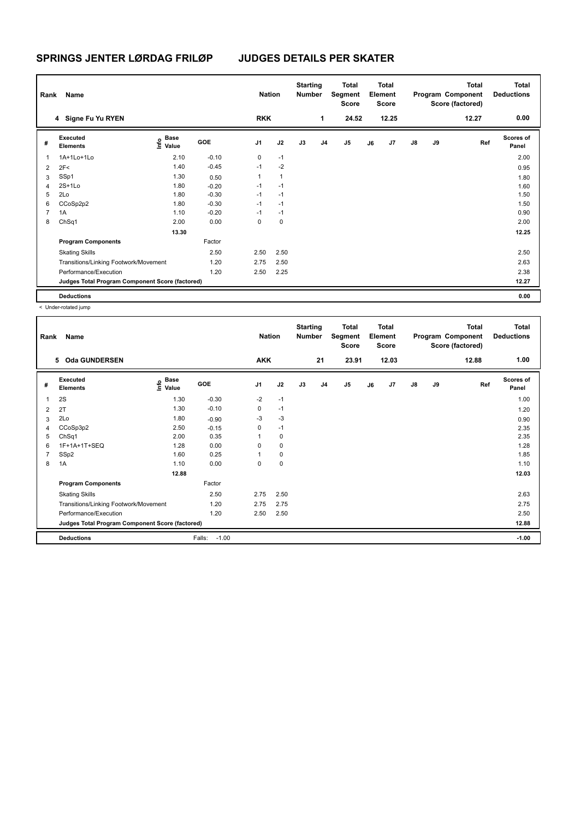| Rank           | Name                                            |                                  |         | <b>Nation</b>  |              | <b>Starting</b><br><b>Number</b> |                | Total<br>Segment<br><b>Score</b> |    | Total<br>Element<br><b>Score</b> |               |    | <b>Total</b><br>Program Component<br>Score (factored) | <b>Total</b><br><b>Deductions</b> |
|----------------|-------------------------------------------------|----------------------------------|---------|----------------|--------------|----------------------------------|----------------|----------------------------------|----|----------------------------------|---------------|----|-------------------------------------------------------|-----------------------------------|
|                | 4 Signe Fu Yu RYEN                              |                                  |         | <b>RKK</b>     |              |                                  | 1              | 24.52                            |    | 12.25                            |               |    | 12.27                                                 | 0.00                              |
| #              | Executed<br><b>Elements</b>                     | <b>Base</b><br>e Base<br>⊆ Value | GOE     | J <sub>1</sub> | J2           | J3                               | J <sub>4</sub> | J <sub>5</sub>                   | J6 | J7                               | $\mathsf{J}8$ | J9 | Ref                                                   | <b>Scores of</b><br>Panel         |
| $\mathbf{1}$   | 1A+1Lo+1Lo                                      | 2.10                             | $-0.10$ | 0              | $-1$         |                                  |                |                                  |    |                                  |               |    |                                                       | 2.00                              |
| 2              | 2F<                                             | 1.40                             | $-0.45$ | $-1$           | $-2$         |                                  |                |                                  |    |                                  |               |    |                                                       | 0.95                              |
| 3              | SSp1                                            | 1.30                             | 0.50    | 1              | $\mathbf{1}$ |                                  |                |                                  |    |                                  |               |    |                                                       | 1.80                              |
| $\overline{4}$ | $2S+1L0$                                        | 1.80                             | $-0.20$ | $-1$           | $-1$         |                                  |                |                                  |    |                                  |               |    |                                                       | 1.60                              |
| 5              | 2Lo                                             | 1.80                             | $-0.30$ | $-1$           | $-1$         |                                  |                |                                  |    |                                  |               |    |                                                       | 1.50                              |
| 6              | CCoSp2p2                                        | 1.80                             | $-0.30$ | $-1$           | $-1$         |                                  |                |                                  |    |                                  |               |    |                                                       | 1.50                              |
| $\overline{7}$ | 1A                                              | 1.10                             | $-0.20$ | $-1$           | $-1$         |                                  |                |                                  |    |                                  |               |    |                                                       | 0.90                              |
| 8              | ChSq1                                           | 2.00                             | 0.00    | 0              | 0            |                                  |                |                                  |    |                                  |               |    |                                                       | 2.00                              |
|                |                                                 | 13.30                            |         |                |              |                                  |                |                                  |    |                                  |               |    |                                                       | 12.25                             |
|                | <b>Program Components</b>                       |                                  | Factor  |                |              |                                  |                |                                  |    |                                  |               |    |                                                       |                                   |
|                | <b>Skating Skills</b>                           |                                  | 2.50    | 2.50           | 2.50         |                                  |                |                                  |    |                                  |               |    |                                                       | 2.50                              |
|                | Transitions/Linking Footwork/Movement           |                                  | 1.20    | 2.75           | 2.50         |                                  |                |                                  |    |                                  |               |    |                                                       | 2.63                              |
|                | Performance/Execution                           |                                  | 1.20    | 2.50           | 2.25         |                                  |                |                                  |    |                                  |               |    |                                                       | 2.38                              |
|                | Judges Total Program Component Score (factored) |                                  |         |                |              |                                  |                |                                  |    |                                  |               |    |                                                       | 12.27                             |
|                | <b>Deductions</b>                               |                                  |         |                |              |                                  |                |                                  |    |                                  |               |    |                                                       | 0.00                              |

| Rank | Name                                            |                                  |                   | <b>Nation</b>  |           | <b>Starting</b><br><b>Number</b> |                | <b>Total</b><br>Segment<br><b>Score</b> |    | Total<br>Element<br><b>Score</b> |               |    | <b>Total</b><br>Program Component<br>Score (factored) | <b>Total</b><br><b>Deductions</b> |
|------|-------------------------------------------------|----------------------------------|-------------------|----------------|-----------|----------------------------------|----------------|-----------------------------------------|----|----------------------------------|---------------|----|-------------------------------------------------------|-----------------------------------|
|      | <b>Oda GUNDERSEN</b><br>5                       |                                  |                   | <b>AKK</b>     |           |                                  | 21             | 23.91                                   |    | 12.03                            |               |    | 12.88                                                 | 1.00                              |
| #    | Executed<br><b>Elements</b>                     | <b>Base</b><br>e Base<br>⊆ Value | GOE               | J <sub>1</sub> | J2        | J3                               | J <sub>4</sub> | $\mathsf{J}5$                           | J6 | J7                               | $\mathsf{J}8$ | J9 | Ref                                                   | <b>Scores of</b><br>Panel         |
| 1    | 2S                                              | 1.30                             | $-0.30$           | $-2$           | $-1$      |                                  |                |                                         |    |                                  |               |    |                                                       | 1.00                              |
| 2    | 2T                                              | 1.30                             | $-0.10$           | 0              | $-1$      |                                  |                |                                         |    |                                  |               |    |                                                       | 1.20                              |
| 3    | 2Lo                                             | 1.80                             | $-0.90$           | $-3$           | $-3$      |                                  |                |                                         |    |                                  |               |    |                                                       | 0.90                              |
| 4    | CCoSp3p2                                        | 2.50                             | $-0.15$           | 0              | $-1$      |                                  |                |                                         |    |                                  |               |    |                                                       | 2.35                              |
| 5    | ChSq1                                           | 2.00                             | 0.35              |                | 0         |                                  |                |                                         |    |                                  |               |    |                                                       | 2.35                              |
| 6    | 1F+1A+1T+SEQ                                    | 1.28                             | 0.00              | 0              | $\pmb{0}$ |                                  |                |                                         |    |                                  |               |    |                                                       | 1.28                              |
| 7    | SSp2                                            | 1.60                             | 0.25              |                | 0         |                                  |                |                                         |    |                                  |               |    |                                                       | 1.85                              |
| 8    | 1A                                              | 1.10                             | 0.00              | 0              | 0         |                                  |                |                                         |    |                                  |               |    |                                                       | 1.10                              |
|      |                                                 | 12.88                            |                   |                |           |                                  |                |                                         |    |                                  |               |    |                                                       | 12.03                             |
|      | <b>Program Components</b>                       |                                  | Factor            |                |           |                                  |                |                                         |    |                                  |               |    |                                                       |                                   |
|      | <b>Skating Skills</b>                           |                                  | 2.50              | 2.75           | 2.50      |                                  |                |                                         |    |                                  |               |    |                                                       | 2.63                              |
|      | Transitions/Linking Footwork/Movement           |                                  | 1.20              | 2.75           | 2.75      |                                  |                |                                         |    |                                  |               |    |                                                       | 2.75                              |
|      | Performance/Execution                           |                                  | 1.20              | 2.50           | 2.50      |                                  |                |                                         |    |                                  |               |    |                                                       | 2.50                              |
|      | Judges Total Program Component Score (factored) |                                  |                   |                |           |                                  |                |                                         |    |                                  |               |    |                                                       | 12.88                             |
|      | <b>Deductions</b>                               |                                  | $-1.00$<br>Falls: |                |           |                                  |                |                                         |    |                                  |               |    |                                                       | $-1.00$                           |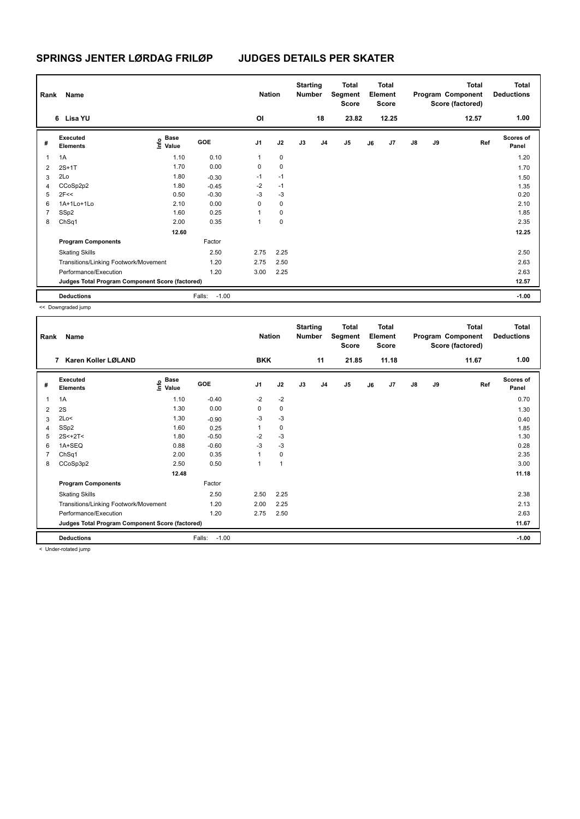| Rank           | Name                                            |                                  |                   | <b>Nation</b>  |             | <b>Starting</b><br><b>Number</b> |                | Total<br>Segment<br><b>Score</b> |    | <b>Total</b><br>Element<br><b>Score</b> |               |    | Total<br>Program Component<br>Score (factored) | <b>Total</b><br><b>Deductions</b> |
|----------------|-------------------------------------------------|----------------------------------|-------------------|----------------|-------------|----------------------------------|----------------|----------------------------------|----|-----------------------------------------|---------------|----|------------------------------------------------|-----------------------------------|
|                | 6 Lisa YU                                       |                                  |                   | OI             |             |                                  | 18             | 23.82                            |    | 12.25                                   |               |    | 12.57                                          | 1.00                              |
| #              | Executed<br><b>Elements</b>                     | <b>Base</b><br>o Base<br>⊆ Value | <b>GOE</b>        | J <sub>1</sub> | J2          | J3                               | J <sub>4</sub> | J5                               | J6 | J <sub>7</sub>                          | $\mathsf{J}8$ | J9 | Ref                                            | <b>Scores of</b><br>Panel         |
| 1              | 1A                                              | 1.10                             | 0.10              | 1              | 0           |                                  |                |                                  |    |                                         |               |    |                                                | 1.20                              |
| $\overline{2}$ | $2S+1T$                                         | 1.70                             | 0.00              | 0              | 0           |                                  |                |                                  |    |                                         |               |    |                                                | 1.70                              |
| 3              | 2Lo                                             | 1.80                             | $-0.30$           | $-1$           | $-1$        |                                  |                |                                  |    |                                         |               |    |                                                | 1.50                              |
| 4              | CCoSp2p2                                        | 1.80                             | $-0.45$           | $-2$           | $-1$        |                                  |                |                                  |    |                                         |               |    |                                                | 1.35                              |
| 5              | 2F<<                                            | 0.50                             | $-0.30$           | $-3$           | $-3$        |                                  |                |                                  |    |                                         |               |    |                                                | 0.20                              |
| 6              | 1A+1Lo+1Lo                                      | 2.10                             | 0.00              | 0              | 0           |                                  |                |                                  |    |                                         |               |    |                                                | 2.10                              |
| $\overline{7}$ | SSp2                                            | 1.60                             | 0.25              | 1              | $\mathbf 0$ |                                  |                |                                  |    |                                         |               |    |                                                | 1.85                              |
| 8              | ChSq1                                           | 2.00                             | 0.35              | 1              | $\mathbf 0$ |                                  |                |                                  |    |                                         |               |    |                                                | 2.35                              |
|                |                                                 | 12.60                            |                   |                |             |                                  |                |                                  |    |                                         |               |    |                                                | 12.25                             |
|                | <b>Program Components</b>                       |                                  | Factor            |                |             |                                  |                |                                  |    |                                         |               |    |                                                |                                   |
|                | <b>Skating Skills</b>                           |                                  | 2.50              | 2.75           | 2.25        |                                  |                |                                  |    |                                         |               |    |                                                | 2.50                              |
|                | Transitions/Linking Footwork/Movement           |                                  | 1.20              | 2.75           | 2.50        |                                  |                |                                  |    |                                         |               |    |                                                | 2.63                              |
|                | Performance/Execution                           |                                  | 1.20              | 3.00           | 2.25        |                                  |                |                                  |    |                                         |               |    |                                                | 2.63                              |
|                | Judges Total Program Component Score (factored) |                                  |                   |                |             |                                  |                |                                  |    |                                         |               |    |                                                | 12.57                             |
|                | <b>Deductions</b>                               |                                  | $-1.00$<br>Falls: |                |             |                                  |                |                                  |    |                                         |               |    |                                                | $-1.00$                           |

| Rank | Name                                            |                                  |                   | <b>Nation</b>  |                | <b>Starting</b><br><b>Number</b> |                | <b>Total</b><br>Segment<br><b>Score</b> |    | <b>Total</b><br>Element<br><b>Score</b> |               |    | <b>Total</b><br>Program Component<br>Score (factored) | <b>Total</b><br><b>Deductions</b> |
|------|-------------------------------------------------|----------------------------------|-------------------|----------------|----------------|----------------------------------|----------------|-----------------------------------------|----|-----------------------------------------|---------------|----|-------------------------------------------------------|-----------------------------------|
|      | Karen Koller LØLAND<br>7                        |                                  |                   | <b>BKK</b>     |                |                                  | 11             | 21.85                                   |    | 11.18                                   |               |    | 11.67                                                 | 1.00                              |
| #    | Executed<br><b>Elements</b>                     | <b>Base</b><br>e Base<br>⊆ Value | GOE               | J <sub>1</sub> | J2             | J3                               | J <sub>4</sub> | J5                                      | J6 | J7                                      | $\mathsf{J}8$ | J9 | Ref                                                   | Scores of<br>Panel                |
| 1    | 1A                                              | 1.10                             | $-0.40$           | $-2$           | $-2$           |                                  |                |                                         |    |                                         |               |    |                                                       | 0.70                              |
| 2    | 2S                                              | 1.30                             | 0.00              | 0              | 0              |                                  |                |                                         |    |                                         |               |    |                                                       | 1.30                              |
| 3    | 2Lo<                                            | 1.30                             | $-0.90$           | $-3$           | $-3$           |                                  |                |                                         |    |                                         |               |    |                                                       | 0.40                              |
| 4    | SSp2                                            | 1.60                             | 0.25              |                | 0              |                                  |                |                                         |    |                                         |               |    |                                                       | 1.85                              |
| 5    | $2S < +2T <$                                    | 1.80                             | $-0.50$           | $-2$           | $-3$           |                                  |                |                                         |    |                                         |               |    |                                                       | 1.30                              |
| 6    | 1A+SEQ                                          | 0.88                             | $-0.60$           | $-3$           | $-3$           |                                  |                |                                         |    |                                         |               |    |                                                       | 0.28                              |
|      | ChSq1                                           | 2.00                             | 0.35              |                | 0              |                                  |                |                                         |    |                                         |               |    |                                                       | 2.35                              |
| 8    | CCoSp3p2                                        | 2.50                             | 0.50              |                | $\overline{1}$ |                                  |                |                                         |    |                                         |               |    |                                                       | 3.00                              |
|      |                                                 | 12.48                            |                   |                |                |                                  |                |                                         |    |                                         |               |    |                                                       | 11.18                             |
|      | <b>Program Components</b>                       |                                  | Factor            |                |                |                                  |                |                                         |    |                                         |               |    |                                                       |                                   |
|      | <b>Skating Skills</b>                           |                                  | 2.50              | 2.50           | 2.25           |                                  |                |                                         |    |                                         |               |    |                                                       | 2.38                              |
|      | Transitions/Linking Footwork/Movement           |                                  | 1.20              | 2.00           | 2.25           |                                  |                |                                         |    |                                         |               |    |                                                       | 2.13                              |
|      | Performance/Execution                           |                                  | 1.20              | 2.75           | 2.50           |                                  |                |                                         |    |                                         |               |    |                                                       | 2.63                              |
|      | Judges Total Program Component Score (factored) |                                  |                   |                |                |                                  |                |                                         |    |                                         |               |    |                                                       | 11.67                             |
|      | <b>Deductions</b>                               |                                  | $-1.00$<br>Falls: |                |                |                                  |                |                                         |    |                                         |               |    |                                                       | $-1.00$                           |
|      | .                                               |                                  |                   |                |                |                                  |                |                                         |    |                                         |               |    |                                                       |                                   |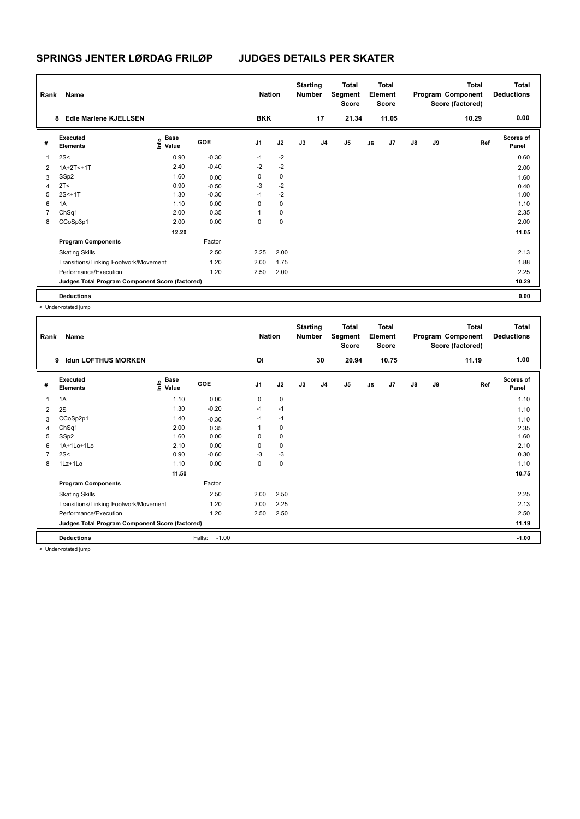| Rank           | Name                                            |                                  |         | <b>Nation</b>  |             | <b>Starting</b><br><b>Number</b> |                | Total<br>Segment<br><b>Score</b> |    | <b>Total</b><br>Element<br><b>Score</b> |               |    | <b>Total</b><br>Program Component<br>Score (factored) | <b>Total</b><br><b>Deductions</b> |
|----------------|-------------------------------------------------|----------------------------------|---------|----------------|-------------|----------------------------------|----------------|----------------------------------|----|-----------------------------------------|---------------|----|-------------------------------------------------------|-----------------------------------|
|                | <b>Edle Marlene KJELLSEN</b><br>8               |                                  |         | <b>BKK</b>     |             |                                  | 17             | 21.34                            |    | 11.05                                   |               |    | 10.29                                                 | 0.00                              |
| #              | Executed<br><b>Elements</b>                     | <b>Base</b><br>o Base<br>⊆ Value | GOE     | J <sub>1</sub> | J2          | J3                               | J <sub>4</sub> | J5                               | J6 | J7                                      | $\mathsf{J}8$ | J9 | Ref                                                   | <b>Scores of</b><br>Panel         |
| 1              | 2S<                                             | 0.90                             | $-0.30$ | $-1$           | $-2$        |                                  |                |                                  |    |                                         |               |    |                                                       | 0.60                              |
| $\overline{2}$ | $1A+2T<+1T$                                     | 2.40                             | $-0.40$ | $-2$           | $-2$        |                                  |                |                                  |    |                                         |               |    |                                                       | 2.00                              |
| 3              | SSp2                                            | 1.60                             | 0.00    | 0              | $\mathbf 0$ |                                  |                |                                  |    |                                         |               |    |                                                       | 1.60                              |
| 4              | 2T <                                            | 0.90                             | $-0.50$ | -3             | $-2$        |                                  |                |                                  |    |                                         |               |    |                                                       | 0.40                              |
| 5              | $2S < +1T$                                      | 1.30                             | $-0.30$ | $-1$           | $-2$        |                                  |                |                                  |    |                                         |               |    |                                                       | 1.00                              |
| 6              | 1A                                              | 1.10                             | 0.00    | 0              | 0           |                                  |                |                                  |    |                                         |               |    |                                                       | 1.10                              |
| $\overline{7}$ | ChSq1                                           | 2.00                             | 0.35    | 1              | 0           |                                  |                |                                  |    |                                         |               |    |                                                       | 2.35                              |
| 8              | CCoSp3p1                                        | 2.00                             | 0.00    | 0              | 0           |                                  |                |                                  |    |                                         |               |    |                                                       | 2.00                              |
|                |                                                 | 12.20                            |         |                |             |                                  |                |                                  |    |                                         |               |    |                                                       | 11.05                             |
|                | <b>Program Components</b>                       |                                  | Factor  |                |             |                                  |                |                                  |    |                                         |               |    |                                                       |                                   |
|                | <b>Skating Skills</b>                           |                                  | 2.50    | 2.25           | 2.00        |                                  |                |                                  |    |                                         |               |    |                                                       | 2.13                              |
|                | Transitions/Linking Footwork/Movement           |                                  | 1.20    | 2.00           | 1.75        |                                  |                |                                  |    |                                         |               |    |                                                       | 1.88                              |
|                | Performance/Execution                           |                                  | 1.20    | 2.50           | 2.00        |                                  |                |                                  |    |                                         |               |    |                                                       | 2.25                              |
|                | Judges Total Program Component Score (factored) |                                  |         |                |             |                                  |                |                                  |    |                                         |               |    |                                                       | 10.29                             |
|                | <b>Deductions</b>                               |                                  |         |                |             |                                  |                |                                  |    |                                         |               |    |                                                       | 0.00                              |

| Rank | Name                                            |                                  |                   | <b>Nation</b>  |           | <b>Starting</b><br><b>Number</b> |                | Total<br>Segment<br>Score |    | Total<br>Element<br><b>Score</b> |               |    | <b>Total</b><br>Program Component<br>Score (factored) | <b>Total</b><br><b>Deductions</b> |
|------|-------------------------------------------------|----------------------------------|-------------------|----------------|-----------|----------------------------------|----------------|---------------------------|----|----------------------------------|---------------|----|-------------------------------------------------------|-----------------------------------|
|      | <b>Idun LOFTHUS MORKEN</b><br>9                 |                                  |                   | OI             |           |                                  | 30             | 20.94                     |    | 10.75                            |               |    | 11.19                                                 | 1.00                              |
| #    | Executed<br><b>Elements</b>                     | <b>Base</b><br>e Base<br>⊆ Value | GOE               | J <sub>1</sub> | J2        | J3                               | J <sub>4</sub> | J <sub>5</sub>            | J6 | J7                               | $\mathsf{J}8$ | J9 | Ref                                                   | <b>Scores of</b><br>Panel         |
| 1    | 1A                                              | 1.10                             | 0.00              | 0              | 0         |                                  |                |                           |    |                                  |               |    |                                                       | 1.10                              |
| 2    | 2S                                              | 1.30                             | $-0.20$           | $-1$           | $-1$      |                                  |                |                           |    |                                  |               |    |                                                       | 1.10                              |
| 3    | CCoSp2p1                                        | 1.40                             | $-0.30$           | $-1$           | $-1$      |                                  |                |                           |    |                                  |               |    |                                                       | 1.10                              |
| 4    | ChSq1                                           | 2.00                             | 0.35              |                | 0         |                                  |                |                           |    |                                  |               |    |                                                       | 2.35                              |
| 5    | SSp2                                            | 1.60                             | 0.00              | $\Omega$       | 0         |                                  |                |                           |    |                                  |               |    |                                                       | 1.60                              |
| 6    | 1A+1Lo+1Lo                                      | 2.10                             | 0.00              | 0              | 0         |                                  |                |                           |    |                                  |               |    |                                                       | 2.10                              |
|      | 2S<                                             | 0.90                             | $-0.60$           | $-3$           | $-3$      |                                  |                |                           |    |                                  |               |    |                                                       | 0.30                              |
| 8    | 1Lz+1Lo                                         | 1.10                             | 0.00              | 0              | $\pmb{0}$ |                                  |                |                           |    |                                  |               |    |                                                       | 1.10                              |
|      |                                                 | 11.50                            |                   |                |           |                                  |                |                           |    |                                  |               |    |                                                       | 10.75                             |
|      | <b>Program Components</b>                       |                                  | Factor            |                |           |                                  |                |                           |    |                                  |               |    |                                                       |                                   |
|      | <b>Skating Skills</b>                           |                                  | 2.50              | 2.00           | 2.50      |                                  |                |                           |    |                                  |               |    |                                                       | 2.25                              |
|      | Transitions/Linking Footwork/Movement           |                                  | 1.20              | 2.00           | 2.25      |                                  |                |                           |    |                                  |               |    |                                                       | 2.13                              |
|      | Performance/Execution                           |                                  | 1.20              | 2.50           | 2.50      |                                  |                |                           |    |                                  |               |    |                                                       | 2.50                              |
|      | Judges Total Program Component Score (factored) |                                  |                   |                |           |                                  |                |                           |    |                                  |               |    |                                                       | 11.19                             |
|      | <b>Deductions</b>                               |                                  | $-1.00$<br>Falls: |                |           |                                  |                |                           |    |                                  |               |    |                                                       | $-1.00$                           |
|      | .                                               |                                  |                   |                |           |                                  |                |                           |    |                                  |               |    |                                                       |                                   |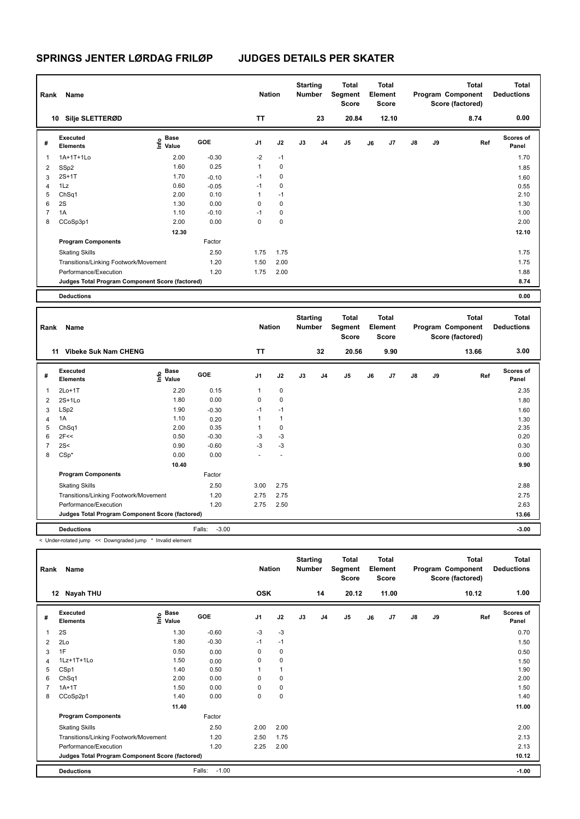| Rank | Name                                            |                           |         | <b>Nation</b>  |             | <b>Starting</b><br><b>Number</b> |                | Total<br>Segment<br><b>Score</b> |    | <b>Total</b><br>Element<br><b>Score</b> |               |    | <b>Total</b><br>Program Component<br>Score (factored) | <b>Total</b><br><b>Deductions</b> |
|------|-------------------------------------------------|---------------------------|---------|----------------|-------------|----------------------------------|----------------|----------------------------------|----|-----------------------------------------|---------------|----|-------------------------------------------------------|-----------------------------------|
|      | Silje SLETTERØD<br>10                           |                           |         | <b>TT</b>      |             |                                  | 23             | 20.84                            |    | 12.10                                   |               |    | 8.74                                                  | 0.00                              |
| #    | Executed<br><b>Elements</b>                     | Base<br>o Base<br>⊆ Value | GOE     | J <sub>1</sub> | J2          | J3                               | J <sub>4</sub> | J <sub>5</sub>                   | J6 | J7                                      | $\mathsf{J}8$ | J9 | Ref                                                   | <b>Scores of</b><br>Panel         |
| 1    | 1A+1T+1Lo                                       | 2.00                      | $-0.30$ | $-2$           | $-1$        |                                  |                |                                  |    |                                         |               |    |                                                       | 1.70                              |
| 2    | SSp2                                            | 1.60                      | 0.25    | 1              | 0           |                                  |                |                                  |    |                                         |               |    |                                                       | 1.85                              |
| 3    | $2S+1T$                                         | 1.70                      | $-0.10$ | $-1$           | 0           |                                  |                |                                  |    |                                         |               |    |                                                       | 1.60                              |
| 4    | 1Lz                                             | 0.60                      | $-0.05$ | $-1$           | 0           |                                  |                |                                  |    |                                         |               |    |                                                       | 0.55                              |
| 5    | ChSq1                                           | 2.00                      | 0.10    | 1              | $-1$        |                                  |                |                                  |    |                                         |               |    |                                                       | 2.10                              |
| 6    | 2S                                              | 1.30                      | 0.00    | 0              | $\mathbf 0$ |                                  |                |                                  |    |                                         |               |    |                                                       | 1.30                              |
| 7    | 1A                                              | 1.10                      | $-0.10$ | $-1$           | 0           |                                  |                |                                  |    |                                         |               |    |                                                       | 1.00                              |
| 8    | CCoSp3p1                                        | 2.00                      | 0.00    | 0              | $\mathbf 0$ |                                  |                |                                  |    |                                         |               |    |                                                       | 2.00                              |
|      |                                                 | 12.30                     |         |                |             |                                  |                |                                  |    |                                         |               |    |                                                       | 12.10                             |
|      | <b>Program Components</b>                       |                           | Factor  |                |             |                                  |                |                                  |    |                                         |               |    |                                                       |                                   |
|      | <b>Skating Skills</b>                           |                           | 2.50    | 1.75           | 1.75        |                                  |                |                                  |    |                                         |               |    |                                                       | 1.75                              |
|      | Transitions/Linking Footwork/Movement           |                           | 1.20    | 1.50           | 2.00        |                                  |                |                                  |    |                                         |               |    |                                                       | 1.75                              |
|      | Performance/Execution                           |                           | 1.20    | 1.75           | 2.00        |                                  |                |                                  |    |                                         |               |    |                                                       | 1.88                              |
|      | Judges Total Program Component Score (factored) |                           |         |                |             |                                  |                |                                  |    |                                         |               |    |                                                       | 8.74                              |
|      | <b>Deductions</b>                               |                           |         |                |             |                                  |                |                                  |    |                                         |               |    |                                                       | 0.00                              |

| Rank | Name                                            |                                                          |                   | <b>Nation</b>  |              | <b>Starting</b><br>Number |                | Total<br>Segment<br>Score |    | <b>Total</b><br>Element<br><b>Score</b> |               |    | Total<br>Program Component<br>Score (factored) | Total<br><b>Deductions</b> |
|------|-------------------------------------------------|----------------------------------------------------------|-------------------|----------------|--------------|---------------------------|----------------|---------------------------|----|-----------------------------------------|---------------|----|------------------------------------------------|----------------------------|
|      | <b>Vibeke Suk Nam CHENG</b><br>11               |                                                          |                   | <b>TT</b>      |              |                           | 32             | 20.56                     |    | 9.90                                    |               |    | 13.66                                          | 3.00                       |
| #    | Executed<br><b>Elements</b>                     | <b>Base</b><br>$\frac{e}{E}$ Base<br>$\frac{e}{E}$ Value | <b>GOE</b>        | J <sub>1</sub> | J2           | J3                        | J <sub>4</sub> | J5                        | J6 | J7                                      | $\mathsf{J}8$ | J9 | Ref                                            | <b>Scores of</b><br>Panel  |
| 1    | $2Lo+1T$                                        | 2.20                                                     | 0.15              | $\mathbf{1}$   | 0            |                           |                |                           |    |                                         |               |    |                                                | 2.35                       |
| 2    | $2S+1L0$                                        | 1.80                                                     | 0.00              | 0              | 0            |                           |                |                           |    |                                         |               |    |                                                | 1.80                       |
| 3    | LSp2                                            | 1.90                                                     | $-0.30$           | $-1$           | $-1$         |                           |                |                           |    |                                         |               |    |                                                | 1.60                       |
| 4    | 1A                                              | 1.10                                                     | 0.20              | 1              | $\mathbf{1}$ |                           |                |                           |    |                                         |               |    |                                                | 1.30                       |
| 5    | ChSq1                                           | 2.00                                                     | 0.35              | 1              | 0            |                           |                |                           |    |                                         |               |    |                                                | 2.35                       |
| 6    | 2F<<                                            | 0.50                                                     | $-0.30$           | -3             | $-3$         |                           |                |                           |    |                                         |               |    |                                                | 0.20                       |
| 7    | 2S<                                             | 0.90                                                     | $-0.60$           | $-3$           | $-3$         |                           |                |                           |    |                                         |               |    |                                                | 0.30                       |
| 8    | $CSp*$                                          | 0.00                                                     | 0.00              | ٠              | $\sim$       |                           |                |                           |    |                                         |               |    |                                                | 0.00                       |
|      |                                                 | 10.40                                                    |                   |                |              |                           |                |                           |    |                                         |               |    |                                                | 9.90                       |
|      | <b>Program Components</b>                       |                                                          | Factor            |                |              |                           |                |                           |    |                                         |               |    |                                                |                            |
|      | <b>Skating Skills</b>                           |                                                          | 2.50              | 3.00           | 2.75         |                           |                |                           |    |                                         |               |    |                                                | 2.88                       |
|      | Transitions/Linking Footwork/Movement           |                                                          | 1.20              | 2.75           | 2.75         |                           |                |                           |    |                                         |               |    |                                                | 2.75                       |
|      | Performance/Execution                           |                                                          | 1.20              | 2.75           | 2.50         |                           |                |                           |    |                                         |               |    |                                                | 2.63                       |
|      | Judges Total Program Component Score (factored) |                                                          |                   |                |              |                           |                |                           |    |                                         |               |    |                                                | 13.66                      |
|      | <b>Deductions</b>                               |                                                          | $-3.00$<br>Falls: |                |              |                           |                |                           |    |                                         |               |    |                                                | $-3.00$                    |

< Under-rotated jump << Downgraded jump \* Invalid element

| Rank | Name                                            |                           |                   | <b>Nation</b>  |                | <b>Starting</b><br><b>Number</b> |                | Total<br>Segment<br>Score |    | Total<br>Element<br><b>Score</b> |               |    | Total<br>Program Component<br>Score (factored) | Total<br><b>Deductions</b> |
|------|-------------------------------------------------|---------------------------|-------------------|----------------|----------------|----------------------------------|----------------|---------------------------|----|----------------------------------|---------------|----|------------------------------------------------|----------------------------|
|      | 12 Nayah THU                                    |                           |                   | <b>OSK</b>     |                |                                  | 14             | 20.12                     |    | 11.00                            |               |    | 10.12                                          | 1.00                       |
| #    | Executed<br><b>Elements</b>                     | Base<br>e Base<br>⊆ Value | <b>GOE</b>        | J <sub>1</sub> | J2             | J3                               | J <sub>4</sub> | J <sub>5</sub>            | J6 | J7                               | $\mathsf{J}8$ | J9 | Ref                                            | <b>Scores of</b><br>Panel  |
|      | 2S                                              | 1.30                      | $-0.60$           | $-3$           | $-3$           |                                  |                |                           |    |                                  |               |    |                                                | 0.70                       |
| 2    | 2Lo                                             | 1.80                      | $-0.30$           | $-1$           | $-1$           |                                  |                |                           |    |                                  |               |    |                                                | 1.50                       |
| 3    | 1F                                              | 0.50                      | 0.00              | 0              | 0              |                                  |                |                           |    |                                  |               |    |                                                | 0.50                       |
| 4    | 1Lz+1T+1Lo                                      | 1.50                      | 0.00              | 0              | $\mathbf 0$    |                                  |                |                           |    |                                  |               |    |                                                | 1.50                       |
| 5    | CSp1                                            | 1.40                      | 0.50              | 1              | $\overline{1}$ |                                  |                |                           |    |                                  |               |    |                                                | 1.90                       |
| 6    | ChSq1                                           | 2.00                      | 0.00              | 0              | 0              |                                  |                |                           |    |                                  |               |    |                                                | 2.00                       |
|      | $1A+1T$                                         | 1.50                      | 0.00              | 0              | $\mathbf 0$    |                                  |                |                           |    |                                  |               |    |                                                | 1.50                       |
| 8    | CCoSp2p1                                        | 1.40                      | 0.00              | 0              | $\mathbf 0$    |                                  |                |                           |    |                                  |               |    |                                                | 1.40                       |
|      |                                                 | 11.40                     |                   |                |                |                                  |                |                           |    |                                  |               |    |                                                | 11.00                      |
|      | <b>Program Components</b>                       |                           | Factor            |                |                |                                  |                |                           |    |                                  |               |    |                                                |                            |
|      | <b>Skating Skills</b>                           |                           | 2.50              | 2.00           | 2.00           |                                  |                |                           |    |                                  |               |    |                                                | 2.00                       |
|      | Transitions/Linking Footwork/Movement           |                           | 1.20              | 2.50           | 1.75           |                                  |                |                           |    |                                  |               |    |                                                | 2.13                       |
|      | Performance/Execution                           |                           | 1.20              | 2.25           | 2.00           |                                  |                |                           |    |                                  |               |    |                                                | 2.13                       |
|      | Judges Total Program Component Score (factored) |                           |                   |                |                |                                  |                |                           |    |                                  |               |    |                                                | 10.12                      |
|      | <b>Deductions</b>                               |                           | $-1.00$<br>Falls: |                |                |                                  |                |                           |    |                                  |               |    |                                                | $-1.00$                    |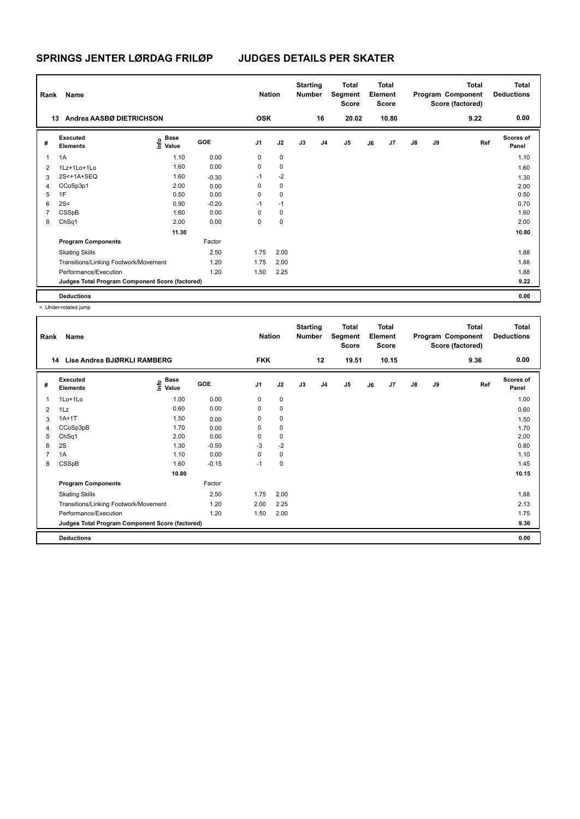| Rank           | Name                                            |                                  |         | <b>Nation</b>  |      | <b>Starting</b><br><b>Number</b> |                | Total<br>Segment<br>Score |    | <b>Total</b><br>Element<br><b>Score</b> |               |    | <b>Total</b><br>Program Component<br>Score (factored) | <b>Total</b><br><b>Deductions</b> |
|----------------|-------------------------------------------------|----------------------------------|---------|----------------|------|----------------------------------|----------------|---------------------------|----|-----------------------------------------|---------------|----|-------------------------------------------------------|-----------------------------------|
| 13             | Andrea AASBØ DIETRICHSON                        |                                  |         | <b>OSK</b>     |      |                                  | 16             | 20.02                     |    | 10.80                                   |               |    | 9.22                                                  | 0.00                              |
| #              | Executed<br><b>Elements</b>                     | <b>Base</b><br>o Base<br>⊆ Value | GOE     | J <sub>1</sub> | J2   | J3                               | J <sub>4</sub> | J5                        | J6 | J7                                      | $\mathsf{J}8$ | J9 | Ref                                                   | <b>Scores of</b><br>Panel         |
| 1              | 1A                                              | 1.10                             | 0.00    | 0              | 0    |                                  |                |                           |    |                                         |               |    |                                                       | 1.10                              |
| $\overline{2}$ | 1Lz+1Lo+1Lo                                     | 1.60                             | 0.00    | 0              | 0    |                                  |                |                           |    |                                         |               |    |                                                       | 1.60                              |
| 3              | 2S<+1A+SEQ                                      | 1.60                             | $-0.30$ | $-1$           | $-2$ |                                  |                |                           |    |                                         |               |    |                                                       | 1.30                              |
| 4              | CCoSp3p1                                        | 2.00                             | 0.00    | 0              | 0    |                                  |                |                           |    |                                         |               |    |                                                       | 2.00                              |
| 5              | 1F                                              | 0.50                             | 0.00    | 0              | 0    |                                  |                |                           |    |                                         |               |    |                                                       | 0.50                              |
| 6              | 2S<                                             | 0.90                             | $-0.20$ | $-1$           | $-1$ |                                  |                |                           |    |                                         |               |    |                                                       | 0.70                              |
| 7              | CSSpB                                           | 1.60                             | 0.00    | 0              | 0    |                                  |                |                           |    |                                         |               |    |                                                       | 1.60                              |
| 8              | ChSq1                                           | 2.00                             | 0.00    | 0              | 0    |                                  |                |                           |    |                                         |               |    |                                                       | 2.00                              |
|                |                                                 | 11.30                            |         |                |      |                                  |                |                           |    |                                         |               |    |                                                       | 10.80                             |
|                | <b>Program Components</b>                       |                                  | Factor  |                |      |                                  |                |                           |    |                                         |               |    |                                                       |                                   |
|                | <b>Skating Skills</b>                           |                                  | 2.50    | 1.75           | 2.00 |                                  |                |                           |    |                                         |               |    |                                                       | 1.88                              |
|                | Transitions/Linking Footwork/Movement           |                                  | 1.20    | 1.75           | 2.00 |                                  |                |                           |    |                                         |               |    |                                                       | 1.88                              |
|                | Performance/Execution                           |                                  | 1.20    | 1.50           | 2.25 |                                  |                |                           |    |                                         |               |    |                                                       | 1.88                              |
|                | Judges Total Program Component Score (factored) |                                  |         |                |      |                                  |                |                           |    |                                         |               |    |                                                       | 9.22                              |
|                | <b>Deductions</b>                               |                                  |         |                |      |                                  |                |                           |    |                                         |               |    |                                                       | 0.00                              |

| Rank           | Name                                            |                                    |         | <b>Nation</b>  |             | <b>Starting</b><br><b>Number</b> |                | <b>Total</b><br>Segment<br>Score |    | Total<br>Element<br>Score |               |    | <b>Total</b><br>Program Component<br>Score (factored) | <b>Total</b><br><b>Deductions</b> |
|----------------|-------------------------------------------------|------------------------------------|---------|----------------|-------------|----------------------------------|----------------|----------------------------------|----|---------------------------|---------------|----|-------------------------------------------------------|-----------------------------------|
| 14             | Lise Andrea BJØRKLI RAMBERG                     |                                    |         | <b>FKK</b>     |             |                                  | 12             | 19.51                            |    | 10.15                     |               |    | 9.36                                                  | 0.00                              |
| #              | Executed<br><b>Elements</b>                     | <b>Base</b><br>$\frac{6}{5}$ Value | GOE     | J <sub>1</sub> | J2          | J3                               | J <sub>4</sub> | J <sub>5</sub>                   | J6 | J7                        | $\mathsf{J}8$ | J9 | Ref                                                   | <b>Scores of</b><br>Panel         |
| 1              | 1Lo+1Lo                                         | 1.00                               | 0.00    | $\mathbf 0$    | 0           |                                  |                |                                  |    |                           |               |    |                                                       | 1.00                              |
| 2              | 1Lz                                             | 0.60                               | 0.00    | 0              | 0           |                                  |                |                                  |    |                           |               |    |                                                       | 0.60                              |
| 3              | $1A+1T$                                         | 1.50                               | 0.00    | 0              | 0           |                                  |                |                                  |    |                           |               |    |                                                       | 1.50                              |
| 4              | CCoSp3pB                                        | 1.70                               | 0.00    | 0              | 0           |                                  |                |                                  |    |                           |               |    |                                                       | 1.70                              |
| 5              | ChSq1                                           | 2.00                               | 0.00    | 0              | $\mathbf 0$ |                                  |                |                                  |    |                           |               |    |                                                       | 2.00                              |
| 6              | 2S                                              | 1.30                               | $-0.50$ | $-3$           | $-2$        |                                  |                |                                  |    |                           |               |    |                                                       | 0.80                              |
| $\overline{7}$ | 1A                                              | 1.10                               | 0.00    | 0              | 0           |                                  |                |                                  |    |                           |               |    |                                                       | 1.10                              |
| 8              | CSSpB                                           | 1.60                               | $-0.15$ | $-1$           | 0           |                                  |                |                                  |    |                           |               |    |                                                       | 1.45                              |
|                |                                                 | 10.80                              |         |                |             |                                  |                |                                  |    |                           |               |    |                                                       | 10.15                             |
|                | <b>Program Components</b>                       |                                    | Factor  |                |             |                                  |                |                                  |    |                           |               |    |                                                       |                                   |
|                | <b>Skating Skills</b>                           |                                    | 2.50    | 1.75           | 2.00        |                                  |                |                                  |    |                           |               |    |                                                       | 1.88                              |
|                | Transitions/Linking Footwork/Movement           |                                    | 1.20    | 2.00           | 2.25        |                                  |                |                                  |    |                           |               |    |                                                       | 2.13                              |
|                | Performance/Execution                           |                                    | 1.20    | 1.50           | 2.00        |                                  |                |                                  |    |                           |               |    |                                                       | 1.75                              |
|                | Judges Total Program Component Score (factored) |                                    |         |                |             |                                  |                |                                  |    |                           |               |    |                                                       | 9.36                              |
|                | <b>Deductions</b>                               |                                    |         |                |             |                                  |                |                                  |    |                           |               |    |                                                       | 0.00                              |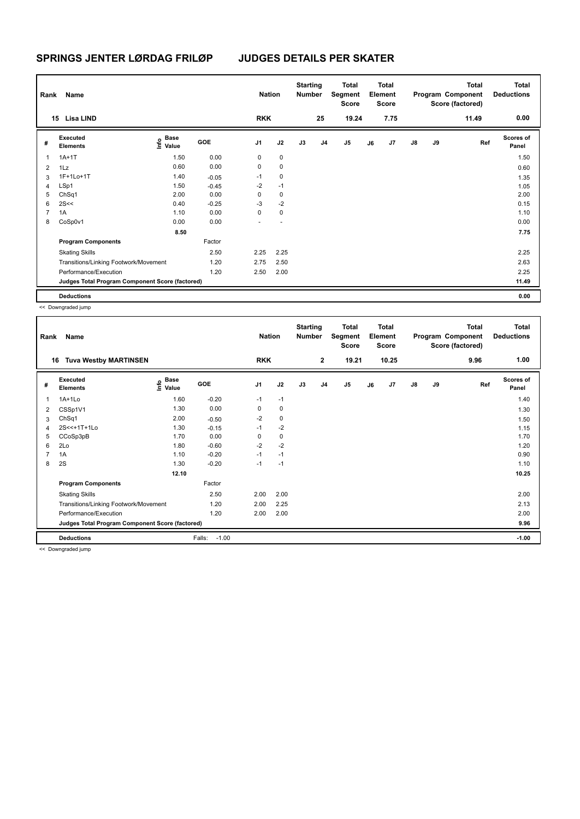| Rank           | Name                                            |                           |         | <b>Nation</b>  |             | <b>Starting</b><br><b>Number</b> |                | Total<br>Segment<br><b>Score</b> |    | Total<br>Element<br><b>Score</b> |               |    | <b>Total</b><br>Program Component<br>Score (factored) | Total<br><b>Deductions</b> |
|----------------|-------------------------------------------------|---------------------------|---------|----------------|-------------|----------------------------------|----------------|----------------------------------|----|----------------------------------|---------------|----|-------------------------------------------------------|----------------------------|
|                | 15 Lisa LIND                                    |                           |         | <b>RKK</b>     |             |                                  | 25             | 19.24                            |    | 7.75                             |               |    | 11.49                                                 | 0.00                       |
| #              | Executed<br><b>Elements</b>                     | Base<br>o Base<br>⊆ Value | GOE     | J <sub>1</sub> | J2          | J3                               | J <sub>4</sub> | J5                               | J6 | J <sub>7</sub>                   | $\mathsf{J}8$ | J9 | Ref                                                   | <b>Scores of</b><br>Panel  |
| 1              | $1A+1T$                                         | 1.50                      | 0.00    | 0              | $\mathbf 0$ |                                  |                |                                  |    |                                  |               |    |                                                       | 1.50                       |
| 2              | 1Lz                                             | 0.60                      | 0.00    | 0              | $\mathbf 0$ |                                  |                |                                  |    |                                  |               |    |                                                       | 0.60                       |
| 3              | 1F+1Lo+1T                                       | 1.40                      | $-0.05$ | $-1$           | $\mathbf 0$ |                                  |                |                                  |    |                                  |               |    |                                                       | 1.35                       |
| 4              | LSp1                                            | 1.50                      | $-0.45$ | $-2$           | $-1$        |                                  |                |                                  |    |                                  |               |    |                                                       | 1.05                       |
| 5              | ChSq1                                           | 2.00                      | 0.00    | 0              | 0           |                                  |                |                                  |    |                                  |               |    |                                                       | 2.00                       |
| 6              | 2S<<                                            | 0.40                      | $-0.25$ | $-3$           | $-2$        |                                  |                |                                  |    |                                  |               |    |                                                       | 0.15                       |
| $\overline{7}$ | 1A                                              | 1.10                      | 0.00    | 0              | $\mathbf 0$ |                                  |                |                                  |    |                                  |               |    |                                                       | 1.10                       |
| 8              | CoSp0v1                                         | 0.00                      | 0.00    |                |             |                                  |                |                                  |    |                                  |               |    |                                                       | 0.00                       |
|                |                                                 | 8.50                      |         |                |             |                                  |                |                                  |    |                                  |               |    |                                                       | 7.75                       |
|                | <b>Program Components</b>                       |                           | Factor  |                |             |                                  |                |                                  |    |                                  |               |    |                                                       |                            |
|                | <b>Skating Skills</b>                           |                           | 2.50    | 2.25           | 2.25        |                                  |                |                                  |    |                                  |               |    |                                                       | 2.25                       |
|                | Transitions/Linking Footwork/Movement           |                           | 1.20    | 2.75           | 2.50        |                                  |                |                                  |    |                                  |               |    |                                                       | 2.63                       |
|                | Performance/Execution                           |                           | 1.20    | 2.50           | 2.00        |                                  |                |                                  |    |                                  |               |    |                                                       | 2.25                       |
|                | Judges Total Program Component Score (factored) |                           |         |                |             |                                  |                |                                  |    |                                  |               |    |                                                       | 11.49                      |
|                | <b>Deductions</b>                               |                           |         |                |             |                                  |                |                                  |    |                                  |               |    |                                                       | 0.00                       |

| Rank           | Name                                            |                   |                   | <b>Nation</b>  |      | <b>Starting</b><br><b>Number</b> |                | <b>Total</b><br>Segment<br><b>Score</b> |    | Total<br>Element<br><b>Score</b> |               |    | <b>Total</b><br>Program Component<br>Score (factored) | <b>Total</b><br><b>Deductions</b> |
|----------------|-------------------------------------------------|-------------------|-------------------|----------------|------|----------------------------------|----------------|-----------------------------------------|----|----------------------------------|---------------|----|-------------------------------------------------------|-----------------------------------|
| 16             | <b>Tuva Westby MARTINSEN</b>                    |                   |                   | <b>RKK</b>     |      |                                  | $\overline{2}$ | 19.21                                   |    | 10.25                            |               |    | 9.96                                                  | 1.00                              |
| #              | Executed<br><b>Elements</b>                     | e Base<br>E Value | GOE               | J <sub>1</sub> | J2   | J3                               | J <sub>4</sub> | J5                                      | J6 | J7                               | $\mathsf{J}8$ | J9 | Ref                                                   | <b>Scores of</b><br>Panel         |
| 1              | $1A+1Lo$                                        | 1.60              | $-0.20$           | $-1$           | $-1$ |                                  |                |                                         |    |                                  |               |    |                                                       | 1.40                              |
| 2              | CSSp1V1                                         | 1.30              | 0.00              | 0              | 0    |                                  |                |                                         |    |                                  |               |    |                                                       | 1.30                              |
| 3              | ChSq1                                           | 2.00              | $-0.50$           | $-2$           | 0    |                                  |                |                                         |    |                                  |               |    |                                                       | 1.50                              |
| 4              | 2S<<+1T+1Lo                                     | 1.30              | $-0.15$           | $-1$           | $-2$ |                                  |                |                                         |    |                                  |               |    |                                                       | 1.15                              |
| 5              | CCoSp3pB                                        | 1.70              | 0.00              | $\Omega$       | 0    |                                  |                |                                         |    |                                  |               |    |                                                       | 1.70                              |
| 6              | 2Lo                                             | 1.80              | $-0.60$           | $-2$           | $-2$ |                                  |                |                                         |    |                                  |               |    |                                                       | 1.20                              |
| $\overline{7}$ | 1A                                              | 1.10              | $-0.20$           | $-1$           | $-1$ |                                  |                |                                         |    |                                  |               |    |                                                       | 0.90                              |
| 8              | 2S                                              | 1.30              | $-0.20$           | $-1$           | $-1$ |                                  |                |                                         |    |                                  |               |    |                                                       | 1.10                              |
|                |                                                 | 12.10             |                   |                |      |                                  |                |                                         |    |                                  |               |    |                                                       | 10.25                             |
|                | <b>Program Components</b>                       |                   | Factor            |                |      |                                  |                |                                         |    |                                  |               |    |                                                       |                                   |
|                | <b>Skating Skills</b>                           |                   | 2.50              | 2.00           | 2.00 |                                  |                |                                         |    |                                  |               |    |                                                       | 2.00                              |
|                | Transitions/Linking Footwork/Movement           |                   | 1.20              | 2.00           | 2.25 |                                  |                |                                         |    |                                  |               |    |                                                       | 2.13                              |
|                | Performance/Execution                           |                   | 1.20              | 2.00           | 2.00 |                                  |                |                                         |    |                                  |               |    |                                                       | 2.00                              |
|                | Judges Total Program Component Score (factored) |                   |                   |                |      |                                  |                |                                         |    |                                  |               |    |                                                       | 9.96                              |
|                | <b>Deductions</b>                               |                   | $-1.00$<br>Falls: |                |      |                                  |                |                                         |    |                                  |               |    |                                                       | $-1.00$                           |
|                | zz Doumaradod iuma                              |                   |                   |                |      |                                  |                |                                         |    |                                  |               |    |                                                       |                                   |

<< Downgraded jump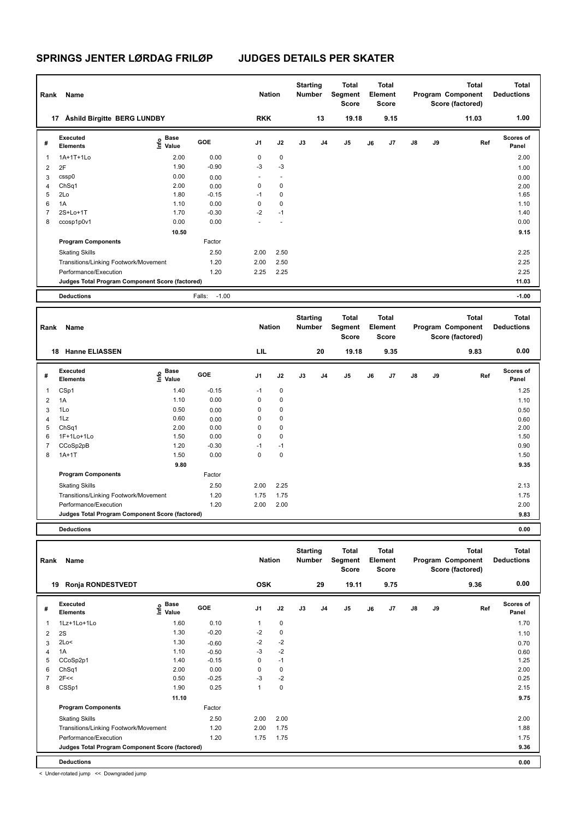| Rank | Name                                            |                           |                   | <b>Nation</b>            |                          | <b>Starting</b><br><b>Number</b> |    | <b>Total</b><br>Segment<br><b>Score</b> |    | Total<br>Element<br>Score |    |    | <b>Total</b><br>Program Component<br>Score (factored) | Total<br><b>Deductions</b> |
|------|-------------------------------------------------|---------------------------|-------------------|--------------------------|--------------------------|----------------------------------|----|-----------------------------------------|----|---------------------------|----|----|-------------------------------------------------------|----------------------------|
| 17   | <b>Åshild Birgitte BERG LUNDBY</b>              |                           |                   | <b>RKK</b>               |                          |                                  | 13 | 19.18                                   |    | 9.15                      |    |    | 11.03                                                 | 1.00                       |
| #    | Executed<br><b>Elements</b>                     | Base<br>o Base<br>⊆ Value | GOE               | J <sub>1</sub>           | J2                       | J3                               | J4 | J <sub>5</sub>                          | J6 | J7                        | J8 | J9 | Ref                                                   | <b>Scores of</b><br>Panel  |
| 1    | 1A+1T+1Lo                                       | 2.00                      | 0.00              | 0                        | 0                        |                                  |    |                                         |    |                           |    |    |                                                       | 2.00                       |
| 2    | 2F                                              | 1.90                      | $-0.90$           | $-3$                     | $-3$                     |                                  |    |                                         |    |                           |    |    |                                                       | 1.00                       |
| 3    | cssp0                                           | 0.00                      | 0.00              | $\overline{\phantom{a}}$ | $\overline{\phantom{a}}$ |                                  |    |                                         |    |                           |    |    |                                                       | 0.00                       |
| 4    | ChSq1                                           | 2.00                      | 0.00              | 0                        | $\mathbf 0$              |                                  |    |                                         |    |                           |    |    |                                                       | 2.00                       |
| 5    | 2Lo                                             | 1.80                      | $-0.15$           | $-1$                     | $\mathbf 0$              |                                  |    |                                         |    |                           |    |    |                                                       | 1.65                       |
| 6    | 1A                                              | 1.10                      | 0.00              | 0                        | $\mathbf 0$              |                                  |    |                                         |    |                           |    |    |                                                       | 1.10                       |
|      | 2S+Lo+1T                                        | 1.70                      | $-0.30$           | $-2$                     | $-1$                     |                                  |    |                                         |    |                           |    |    |                                                       | 1.40                       |
| 8    | ccosp1p0v1                                      | 0.00                      | 0.00              |                          |                          |                                  |    |                                         |    |                           |    |    |                                                       | 0.00                       |
|      |                                                 | 10.50                     |                   |                          |                          |                                  |    |                                         |    |                           |    |    |                                                       | 9.15                       |
|      | <b>Program Components</b>                       |                           | Factor            |                          |                          |                                  |    |                                         |    |                           |    |    |                                                       |                            |
|      | <b>Skating Skills</b>                           |                           | 2.50              | 2.00                     | 2.50                     |                                  |    |                                         |    |                           |    |    |                                                       | 2.25                       |
|      | Transitions/Linking Footwork/Movement           |                           | 1.20              | 2.00                     | 2.50                     |                                  |    |                                         |    |                           |    |    |                                                       | 2.25                       |
|      | Performance/Execution                           |                           | 1.20              | 2.25                     | 2.25                     |                                  |    |                                         |    |                           |    |    |                                                       | 2.25                       |
|      | Judges Total Program Component Score (factored) |                           |                   |                          |                          |                                  |    |                                         |    |                           |    |    |                                                       | 11.03                      |
|      | <b>Deductions</b>                               |                           | $-1.00$<br>Falls: |                          |                          |                                  |    |                                         |    |                           |    |    |                                                       | $-1.00$                    |

| Rank           | Name                                            |                                  |         | <b>Nation</b>  |             | <b>Starting</b><br><b>Number</b> |                | Total<br>Segment<br><b>Score</b> |    | <b>Total</b><br>Element<br><b>Score</b> |               |    | <b>Total</b><br>Program Component<br>Score (factored) | <b>Total</b><br><b>Deductions</b> |
|----------------|-------------------------------------------------|----------------------------------|---------|----------------|-------------|----------------------------------|----------------|----------------------------------|----|-----------------------------------------|---------------|----|-------------------------------------------------------|-----------------------------------|
| 18             | <b>Hanne ELIASSEN</b>                           |                                  |         | LIL            |             |                                  | 20             | 19.18                            |    | 9.35                                    |               |    | 9.83                                                  | 0.00                              |
| #              | Executed<br><b>Elements</b>                     | <b>Base</b><br>e Base<br>⊆ Value | GOE     | J <sub>1</sub> | J2          | J3                               | J <sub>4</sub> | J <sub>5</sub>                   | J6 | J7                                      | $\mathsf{J}8$ | J9 | Ref                                                   | Scores of<br>Panel                |
| -1             | CSp1                                            | 1.40                             | $-0.15$ | $-1$           | 0           |                                  |                |                                  |    |                                         |               |    |                                                       | 1.25                              |
| $\overline{2}$ | 1A                                              | 1.10                             | 0.00    | $\mathbf 0$    | $\mathbf 0$ |                                  |                |                                  |    |                                         |               |    |                                                       | 1.10                              |
| 3              | 1Lo                                             | 0.50                             | 0.00    | 0              | $\mathbf 0$ |                                  |                |                                  |    |                                         |               |    |                                                       | 0.50                              |
| 4              | 1Lz                                             | 0.60                             | 0.00    | 0              | $\pmb{0}$   |                                  |                |                                  |    |                                         |               |    |                                                       | 0.60                              |
| 5              | ChSq1                                           | 2.00                             | 0.00    | 0              | $\pmb{0}$   |                                  |                |                                  |    |                                         |               |    |                                                       | 2.00                              |
| 6              | 1F+1Lo+1Lo                                      | 1.50                             | 0.00    | $\mathbf 0$    | $\pmb{0}$   |                                  |                |                                  |    |                                         |               |    |                                                       | 1.50                              |
| $\overline{7}$ | CCoSp2pB                                        | 1.20                             | $-0.30$ | $-1$           | $-1$        |                                  |                |                                  |    |                                         |               |    |                                                       | 0.90                              |
| 8              | $1A+1T$                                         | 1.50                             | 0.00    | $\Omega$       | $\pmb{0}$   |                                  |                |                                  |    |                                         |               |    |                                                       | 1.50                              |
|                |                                                 | 9.80                             |         |                |             |                                  |                |                                  |    |                                         |               |    |                                                       | 9.35                              |
|                | <b>Program Components</b>                       |                                  | Factor  |                |             |                                  |                |                                  |    |                                         |               |    |                                                       |                                   |
|                | <b>Skating Skills</b>                           |                                  | 2.50    | 2.00           | 2.25        |                                  |                |                                  |    |                                         |               |    |                                                       | 2.13                              |
|                | Transitions/Linking Footwork/Movement           |                                  | 1.20    | 1.75           | 1.75        |                                  |                |                                  |    |                                         |               |    |                                                       | 1.75                              |
|                | Performance/Execution                           |                                  | 1.20    | 2.00           | 2.00        |                                  |                |                                  |    |                                         |               |    |                                                       | 2.00                              |
|                | Judges Total Program Component Score (factored) |                                  |         |                |             |                                  |                |                                  |    |                                         |               |    |                                                       | 9.83                              |
|                | <b>Deductions</b>                               |                                  |         |                |             |                                  |                |                                  |    |                                         |               |    |                                                       | 0.00                              |

| Rank | Name                                            |                    |            | <b>Nation</b>  |             | <b>Starting</b><br><b>Number</b> |                | <b>Total</b><br>Segment<br><b>Score</b> |    | <b>Total</b><br>Element<br><b>Score</b> |    |    | <b>Total</b><br>Program Component<br>Score (factored) | <b>Total</b><br><b>Deductions</b> |
|------|-------------------------------------------------|--------------------|------------|----------------|-------------|----------------------------------|----------------|-----------------------------------------|----|-----------------------------------------|----|----|-------------------------------------------------------|-----------------------------------|
| 19   | Ronja RONDESTVEDT                               |                    |            | <b>OSK</b>     |             |                                  | 29             | 19.11                                   |    | 9.75                                    |    |    | 9.36                                                  | 0.00                              |
| #    | Executed<br><b>Elements</b>                     | $\frac{e}{E}$ Base | <b>GOE</b> | J <sub>1</sub> | J2          | J3                               | J <sub>4</sub> | J <sub>5</sub>                          | J6 | J7                                      | J8 | J9 | Ref                                                   | <b>Scores of</b><br>Panel         |
| 1    | 1Lz+1Lo+1Lo                                     | 1.60               | 0.10       | 1              | 0           |                                  |                |                                         |    |                                         |    |    |                                                       | 1.70                              |
| 2    | 2S                                              | 1.30               | $-0.20$    | $-2$           | 0           |                                  |                |                                         |    |                                         |    |    |                                                       | 1.10                              |
| 3    | 2Lo<                                            | 1.30               | $-0.60$    | $-2$           | $-2$        |                                  |                |                                         |    |                                         |    |    |                                                       | 0.70                              |
| 4    | 1A                                              | 1.10               | $-0.50$    | -3             | $-2$        |                                  |                |                                         |    |                                         |    |    |                                                       | 0.60                              |
| 5    | CCoSp2p1                                        | 1.40               | $-0.15$    | 0              | $-1$        |                                  |                |                                         |    |                                         |    |    |                                                       | 1.25                              |
| 6    | ChSq1                                           | 2.00               | 0.00       | 0              | 0           |                                  |                |                                         |    |                                         |    |    |                                                       | 2.00                              |
|      | 2F<<                                            | 0.50               | $-0.25$    | $-3$           | $-2$        |                                  |                |                                         |    |                                         |    |    |                                                       | 0.25                              |
| 8    | CSSp1                                           | 1.90               | 0.25       | 1              | $\mathbf 0$ |                                  |                |                                         |    |                                         |    |    |                                                       | 2.15                              |
|      |                                                 | 11.10              |            |                |             |                                  |                |                                         |    |                                         |    |    |                                                       | 9.75                              |
|      | <b>Program Components</b>                       |                    | Factor     |                |             |                                  |                |                                         |    |                                         |    |    |                                                       |                                   |
|      | <b>Skating Skills</b>                           |                    | 2.50       | 2.00           | 2.00        |                                  |                |                                         |    |                                         |    |    |                                                       | 2.00                              |
|      | Transitions/Linking Footwork/Movement           |                    | 1.20       | 2.00           | 1.75        |                                  |                |                                         |    |                                         |    |    |                                                       | 1.88                              |
|      | Performance/Execution                           |                    | 1.20       | 1.75           | 1.75        |                                  |                |                                         |    |                                         |    |    |                                                       | 1.75                              |
|      | Judges Total Program Component Score (factored) |                    |            |                |             |                                  |                |                                         |    |                                         |    |    |                                                       | 9.36                              |
|      | <b>Deductions</b>                               |                    |            |                |             |                                  |                |                                         |    |                                         |    |    |                                                       | 0.00                              |

< Under-rotated jump << Downgraded jump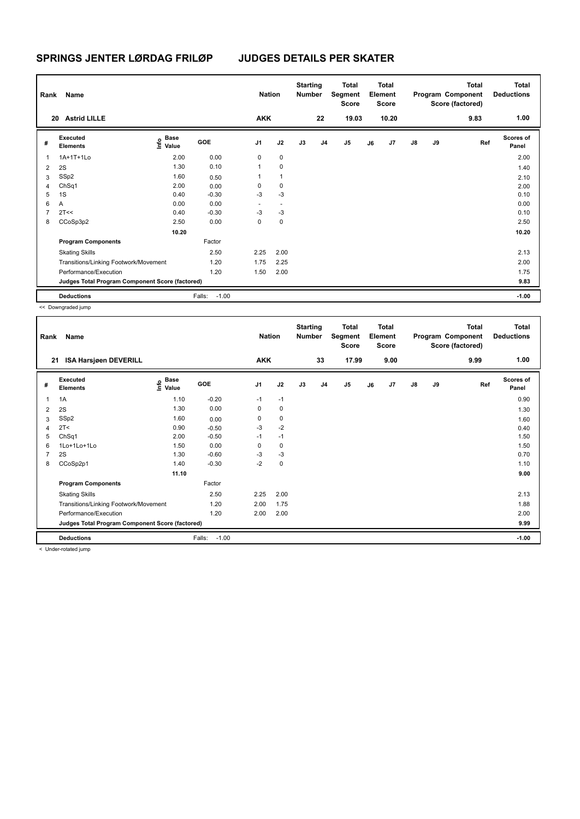| Rank           | Name                                            |                                  |                   | <b>Nation</b>  |                          | <b>Starting</b><br><b>Number</b> |                | Total<br>Segment<br><b>Score</b> |    | Total<br>Element<br><b>Score</b> |               |    | <b>Total</b><br>Program Component<br>Score (factored) | <b>Total</b><br><b>Deductions</b> |
|----------------|-------------------------------------------------|----------------------------------|-------------------|----------------|--------------------------|----------------------------------|----------------|----------------------------------|----|----------------------------------|---------------|----|-------------------------------------------------------|-----------------------------------|
| 20             | <b>Astrid LILLE</b>                             |                                  |                   | <b>AKK</b>     |                          |                                  | 22             | 19.03                            |    | 10.20                            |               |    | 9.83                                                  | 1.00                              |
| #              | Executed<br><b>Elements</b>                     | <b>Base</b><br>o Base<br>⊆ Value | GOE               | J <sub>1</sub> | J2                       | J3                               | J <sub>4</sub> | J <sub>5</sub>                   | J6 | J7                               | $\mathsf{J}8$ | J9 | Ref                                                   | <b>Scores of</b><br>Panel         |
| 1              | 1A+1T+1Lo                                       | 2.00                             | 0.00              | $\mathbf 0$    | $\mathbf 0$              |                                  |                |                                  |    |                                  |               |    |                                                       | 2.00                              |
| 2              | 2S                                              | 1.30                             | 0.10              | 1              | 0                        |                                  |                |                                  |    |                                  |               |    |                                                       | 1.40                              |
| 3              | SSp2                                            | 1.60                             | 0.50              | 1              | 1                        |                                  |                |                                  |    |                                  |               |    |                                                       | 2.10                              |
| 4              | ChSq1                                           | 2.00                             | 0.00              | 0              | 0                        |                                  |                |                                  |    |                                  |               |    |                                                       | 2.00                              |
| 5              | 1S                                              | 0.40                             | $-0.30$           | -3             | $-3$                     |                                  |                |                                  |    |                                  |               |    |                                                       | 0.10                              |
| 6              | Α                                               | 0.00                             | 0.00              | ٠              | $\overline{\phantom{a}}$ |                                  |                |                                  |    |                                  |               |    |                                                       | 0.00                              |
| $\overline{7}$ | 2T<<                                            | 0.40                             | $-0.30$           | $-3$           | -3                       |                                  |                |                                  |    |                                  |               |    |                                                       | 0.10                              |
| 8              | CCoSp3p2                                        | 2.50                             | 0.00              | 0              | $\mathbf 0$              |                                  |                |                                  |    |                                  |               |    |                                                       | 2.50                              |
|                |                                                 | 10.20                            |                   |                |                          |                                  |                |                                  |    |                                  |               |    |                                                       | 10.20                             |
|                | <b>Program Components</b>                       |                                  | Factor            |                |                          |                                  |                |                                  |    |                                  |               |    |                                                       |                                   |
|                | <b>Skating Skills</b>                           |                                  | 2.50              | 2.25           | 2.00                     |                                  |                |                                  |    |                                  |               |    |                                                       | 2.13                              |
|                | Transitions/Linking Footwork/Movement           |                                  | 1.20              | 1.75           | 2.25                     |                                  |                |                                  |    |                                  |               |    |                                                       | 2.00                              |
|                | Performance/Execution                           |                                  | 1.20              | 1.50           | 2.00                     |                                  |                |                                  |    |                                  |               |    |                                                       | 1.75                              |
|                | Judges Total Program Component Score (factored) |                                  |                   |                |                          |                                  |                |                                  |    |                                  |               |    |                                                       | 9.83                              |
|                | <b>Deductions</b>                               |                                  | Falls:<br>$-1.00$ |                |                          |                                  |                |                                  |    |                                  |               |    |                                                       | $-1.00$                           |

| Rank | Name                                            |                                      |                   | <b>Nation</b>  |             | <b>Starting</b><br><b>Number</b> |                | <b>Total</b><br>Segment<br><b>Score</b> |    | <b>Total</b><br>Element<br><b>Score</b> |               |    | <b>Total</b><br>Program Component<br>Score (factored) | <b>Total</b><br><b>Deductions</b> |
|------|-------------------------------------------------|--------------------------------------|-------------------|----------------|-------------|----------------------------------|----------------|-----------------------------------------|----|-----------------------------------------|---------------|----|-------------------------------------------------------|-----------------------------------|
| 21   | <b>ISA Harsjøen DEVERILL</b>                    |                                      |                   | <b>AKK</b>     |             |                                  | 33             | 17.99                                   |    | 9.00                                    |               |    | 9.99                                                  | 1.00                              |
| #    | Executed<br><b>Elements</b>                     | Base<br>e <sup>Base</sup><br>⊆ Value | GOE               | J <sub>1</sub> | J2          | J3                               | J <sub>4</sub> | J <sub>5</sub>                          | J6 | J7                                      | $\mathsf{J}8$ | J9 | Ref                                                   | <b>Scores of</b><br>Panel         |
| 1    | 1A                                              | 1.10                                 | $-0.20$           | $-1$           | $-1$        |                                  |                |                                         |    |                                         |               |    |                                                       | 0.90                              |
| 2    | 2S                                              | 1.30                                 | 0.00              | 0              | $\mathbf 0$ |                                  |                |                                         |    |                                         |               |    |                                                       | 1.30                              |
| 3    | SSp2                                            | 1.60                                 | 0.00              | 0              | 0           |                                  |                |                                         |    |                                         |               |    |                                                       | 1.60                              |
| 4    | 2T <                                            | 0.90                                 | $-0.50$           | $-3$           | $-2$        |                                  |                |                                         |    |                                         |               |    |                                                       | 0.40                              |
| 5    | ChSq1                                           | 2.00                                 | $-0.50$           | $-1$           | $-1$        |                                  |                |                                         |    |                                         |               |    |                                                       | 1.50                              |
| 6    | 1Lo+1Lo+1Lo                                     | 1.50                                 | 0.00              | 0              | 0           |                                  |                |                                         |    |                                         |               |    |                                                       | 1.50                              |
| 7    | 2S                                              | 1.30                                 | $-0.60$           | -3             | $-3$        |                                  |                |                                         |    |                                         |               |    |                                                       | 0.70                              |
| 8    | CCoSp2p1                                        | 1.40                                 | $-0.30$           | $-2$           | 0           |                                  |                |                                         |    |                                         |               |    |                                                       | 1.10                              |
|      |                                                 | 11.10                                |                   |                |             |                                  |                |                                         |    |                                         |               |    |                                                       | 9.00                              |
|      | <b>Program Components</b>                       |                                      | Factor            |                |             |                                  |                |                                         |    |                                         |               |    |                                                       |                                   |
|      | <b>Skating Skills</b>                           |                                      | 2.50              | 2.25           | 2.00        |                                  |                |                                         |    |                                         |               |    |                                                       | 2.13                              |
|      | Transitions/Linking Footwork/Movement           |                                      | 1.20              | 2.00           | 1.75        |                                  |                |                                         |    |                                         |               |    |                                                       | 1.88                              |
|      | Performance/Execution                           |                                      | 1.20              | 2.00           | 2.00        |                                  |                |                                         |    |                                         |               |    |                                                       | 2.00                              |
|      | Judges Total Program Component Score (factored) |                                      |                   |                |             |                                  |                |                                         |    |                                         |               |    |                                                       | 9.99                              |
|      | <b>Deductions</b>                               |                                      | $-1.00$<br>Falls: |                |             |                                  |                |                                         |    |                                         |               |    |                                                       | $-1.00$                           |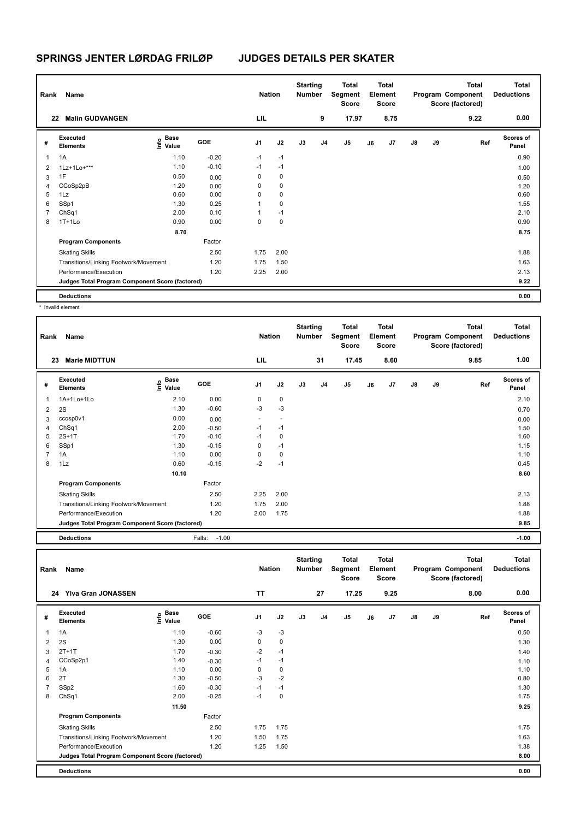| Rank | Name                                            |                           |         | <b>Nation</b>  |             | <b>Starting</b><br><b>Number</b> |                | <b>Total</b><br>Segment<br><b>Score</b> |    | <b>Total</b><br>Element<br><b>Score</b> |    |    | <b>Total</b><br>Program Component<br>Score (factored) | Total<br><b>Deductions</b> |
|------|-------------------------------------------------|---------------------------|---------|----------------|-------------|----------------------------------|----------------|-----------------------------------------|----|-----------------------------------------|----|----|-------------------------------------------------------|----------------------------|
| 22   | <b>Malin GUDVANGEN</b>                          |                           |         | LIL            |             |                                  | 9              | 17.97                                   |    | 8.75                                    |    |    | 9.22                                                  | 0.00                       |
| #    | Executed<br><b>Elements</b>                     | Base<br>e Base<br>⊆ Value | GOE     | J <sub>1</sub> | J2          | J3                               | J <sub>4</sub> | J5                                      | J6 | J7                                      | J8 | J9 | Ref                                                   | <b>Scores of</b><br>Panel  |
| 1    | 1A                                              | 1.10                      | $-0.20$ | $-1$           | $-1$        |                                  |                |                                         |    |                                         |    |    |                                                       | 0.90                       |
| 2    | 1Lz+1Lo+***                                     | 1.10                      | $-0.10$ | $-1$           | $-1$        |                                  |                |                                         |    |                                         |    |    |                                                       | 1.00                       |
| 3    | 1F                                              | 0.50                      | 0.00    | 0              | 0           |                                  |                |                                         |    |                                         |    |    |                                                       | 0.50                       |
| 4    | CCoSp2pB                                        | 1.20                      | 0.00    | 0              | 0           |                                  |                |                                         |    |                                         |    |    |                                                       | 1.20                       |
| 5    | 1Lz                                             | 0.60                      | 0.00    | 0              | 0           |                                  |                |                                         |    |                                         |    |    |                                                       | 0.60                       |
| 6    | SSp1                                            | 1.30                      | 0.25    | 1              | $\mathbf 0$ |                                  |                |                                         |    |                                         |    |    |                                                       | 1.55                       |
|      | ChSq1                                           | 2.00                      | 0.10    | 1              | $-1$        |                                  |                |                                         |    |                                         |    |    |                                                       | 2.10                       |
| 8    | $1T+1L0$                                        | 0.90                      | 0.00    | 0              | 0           |                                  |                |                                         |    |                                         |    |    |                                                       | 0.90                       |
|      |                                                 | 8.70                      |         |                |             |                                  |                |                                         |    |                                         |    |    |                                                       | 8.75                       |
|      | <b>Program Components</b>                       |                           | Factor  |                |             |                                  |                |                                         |    |                                         |    |    |                                                       |                            |
|      | <b>Skating Skills</b>                           |                           | 2.50    | 1.75           | 2.00        |                                  |                |                                         |    |                                         |    |    |                                                       | 1.88                       |
|      | Transitions/Linking Footwork/Movement           |                           | 1.20    | 1.75           | 1.50        |                                  |                |                                         |    |                                         |    |    |                                                       | 1.63                       |
|      | Performance/Execution                           |                           | 1.20    | 2.25           | 2.00        |                                  |                |                                         |    |                                         |    |    |                                                       | 2.13                       |
|      | Judges Total Program Component Score (factored) |                           |         |                |             |                                  |                |                                         |    |                                         |    |    |                                                       | 9.22                       |
|      | <b>Deductions</b>                               |                           |         |                |             |                                  |                |                                         |    |                                         |    |    |                                                       | 0.00                       |

\* Invalid element

| Rank           | Name                                            |                       |                   | <b>Nation</b>            |                          | <b>Starting</b><br><b>Number</b> |                | <b>Total</b><br>Segment<br><b>Score</b> |    | <b>Total</b><br>Element<br><b>Score</b> |               |    | <b>Total</b><br>Program Component<br>Score (factored) | <b>Total</b><br><b>Deductions</b> |
|----------------|-------------------------------------------------|-----------------------|-------------------|--------------------------|--------------------------|----------------------------------|----------------|-----------------------------------------|----|-----------------------------------------|---------------|----|-------------------------------------------------------|-----------------------------------|
|                | <b>Marie MIDTTUN</b><br>23                      |                       |                   | LIL                      |                          |                                  | 31             | 17.45                                   |    | 8.60                                    |               |    | 9.85                                                  | 1.00                              |
| #              | Executed<br><b>Elements</b>                     | Base<br>lnfo<br>Value | GOE               | J <sub>1</sub>           | J2                       | J3                               | J <sub>4</sub> | J <sub>5</sub>                          | J6 | J7                                      | $\mathsf{J}8$ | J9 | Ref                                                   | Scores of<br>Panel                |
| 1              | 1A+1Lo+1Lo                                      | 2.10                  | 0.00              | 0                        | 0                        |                                  |                |                                         |    |                                         |               |    |                                                       | 2.10                              |
| $\overline{2}$ | 2S                                              | 1.30                  | $-0.60$           | $-3$                     | $-3$                     |                                  |                |                                         |    |                                         |               |    |                                                       | 0.70                              |
| 3              | ccosp0v1                                        | 0.00                  | 0.00              | $\overline{\phantom{a}}$ | $\overline{\phantom{a}}$ |                                  |                |                                         |    |                                         |               |    |                                                       | 0.00                              |
| 4              | ChSq1                                           | 2.00                  | $-0.50$           | $-1$                     | $-1$                     |                                  |                |                                         |    |                                         |               |    |                                                       | 1.50                              |
| 5              | $2S+1T$                                         | 1.70                  | $-0.10$           | $-1$                     | 0                        |                                  |                |                                         |    |                                         |               |    |                                                       | 1.60                              |
| 6              | SSp1                                            | 1.30                  | $-0.15$           | 0                        | $-1$                     |                                  |                |                                         |    |                                         |               |    |                                                       | 1.15                              |
| 7              | 1A                                              | 1.10                  | 0.00              | 0                        | 0                        |                                  |                |                                         |    |                                         |               |    |                                                       | 1.10                              |
| 8              | 1Lz                                             | 0.60                  | $-0.15$           | $-2$                     | $-1$                     |                                  |                |                                         |    |                                         |               |    |                                                       | 0.45                              |
|                |                                                 | 10.10                 |                   |                          |                          |                                  |                |                                         |    |                                         |               |    |                                                       | 8.60                              |
|                | <b>Program Components</b>                       |                       | Factor            |                          |                          |                                  |                |                                         |    |                                         |               |    |                                                       |                                   |
|                | <b>Skating Skills</b>                           |                       | 2.50              | 2.25                     | 2.00                     |                                  |                |                                         |    |                                         |               |    |                                                       | 2.13                              |
|                | Transitions/Linking Footwork/Movement           |                       | 1.20              | 1.75                     | 2.00                     |                                  |                |                                         |    |                                         |               |    |                                                       | 1.88                              |
|                | Performance/Execution                           |                       | 1.20              | 2.00                     | 1.75                     |                                  |                |                                         |    |                                         |               |    |                                                       | 1.88                              |
|                | Judges Total Program Component Score (factored) |                       |                   |                          |                          |                                  |                |                                         |    |                                         |               |    |                                                       | 9.85                              |
|                | <b>Deductions</b>                               |                       | $-1.00$<br>Falls: |                          |                          |                                  |                |                                         |    |                                         |               |    |                                                       | $-1.00$                           |

| Rank | Name                                            |                                    |         | <b>Nation</b>  |             | <b>Starting</b><br><b>Number</b> |    | <b>Total</b><br>Segment<br><b>Score</b> |    | Total<br>Element<br><b>Score</b> |               |    | <b>Total</b><br>Program Component<br>Score (factored) | <b>Total</b><br><b>Deductions</b> |
|------|-------------------------------------------------|------------------------------------|---------|----------------|-------------|----------------------------------|----|-----------------------------------------|----|----------------------------------|---------------|----|-------------------------------------------------------|-----------------------------------|
|      | <b>Ylva Gran JONASSEN</b><br>24                 |                                    |         | <b>TT</b>      |             |                                  | 27 | 17.25                                   |    | 9.25                             |               |    | 8.00                                                  | 0.00                              |
| #    | Executed<br><b>Elements</b>                     | <b>Base</b><br>$\frac{6}{5}$ Value | GOE     | J <sub>1</sub> | J2          | J3                               | J4 | J5                                      | J6 | J7                               | $\mathsf{J}8$ | J9 | Ref                                                   | <b>Scores of</b><br>Panel         |
| 1    | 1A                                              | 1.10                               | $-0.60$ | $-3$           | $-3$        |                                  |    |                                         |    |                                  |               |    |                                                       | 0.50                              |
| 2    | 2S                                              | 1.30                               | 0.00    | 0              | 0           |                                  |    |                                         |    |                                  |               |    |                                                       | 1.30                              |
| 3    | $2T+1T$                                         | 1.70                               | $-0.30$ | $-2$           | $-1$        |                                  |    |                                         |    |                                  |               |    |                                                       | 1.40                              |
| 4    | CCoSp2p1                                        | 1.40                               | $-0.30$ | $-1$           | $-1$        |                                  |    |                                         |    |                                  |               |    |                                                       | 1.10                              |
| 5    | 1A                                              | 1.10                               | 0.00    | 0              | $\mathbf 0$ |                                  |    |                                         |    |                                  |               |    |                                                       | 1.10                              |
| 6    | 2T                                              | 1.30                               | $-0.50$ | $-3$           | $-2$        |                                  |    |                                         |    |                                  |               |    |                                                       | 0.80                              |
|      | SSp2                                            | 1.60                               | $-0.30$ | $-1$           | $-1$        |                                  |    |                                         |    |                                  |               |    |                                                       | 1.30                              |
| 8    | ChSq1                                           | 2.00                               | $-0.25$ | $-1$           | $\mathbf 0$ |                                  |    |                                         |    |                                  |               |    |                                                       | 1.75                              |
|      |                                                 | 11.50                              |         |                |             |                                  |    |                                         |    |                                  |               |    |                                                       | 9.25                              |
|      | <b>Program Components</b>                       |                                    | Factor  |                |             |                                  |    |                                         |    |                                  |               |    |                                                       |                                   |
|      | <b>Skating Skills</b>                           |                                    | 2.50    | 1.75           | 1.75        |                                  |    |                                         |    |                                  |               |    |                                                       | 1.75                              |
|      | Transitions/Linking Footwork/Movement           |                                    | 1.20    | 1.50           | 1.75        |                                  |    |                                         |    |                                  |               |    |                                                       | 1.63                              |
|      | Performance/Execution                           |                                    | 1.20    | 1.25           | 1.50        |                                  |    |                                         |    |                                  |               |    |                                                       | 1.38                              |
|      | Judges Total Program Component Score (factored) |                                    |         |                |             |                                  |    |                                         |    |                                  |               |    |                                                       | 8.00                              |
|      | <b>Deductions</b>                               |                                    |         |                |             |                                  |    |                                         |    |                                  |               |    |                                                       | 0.00                              |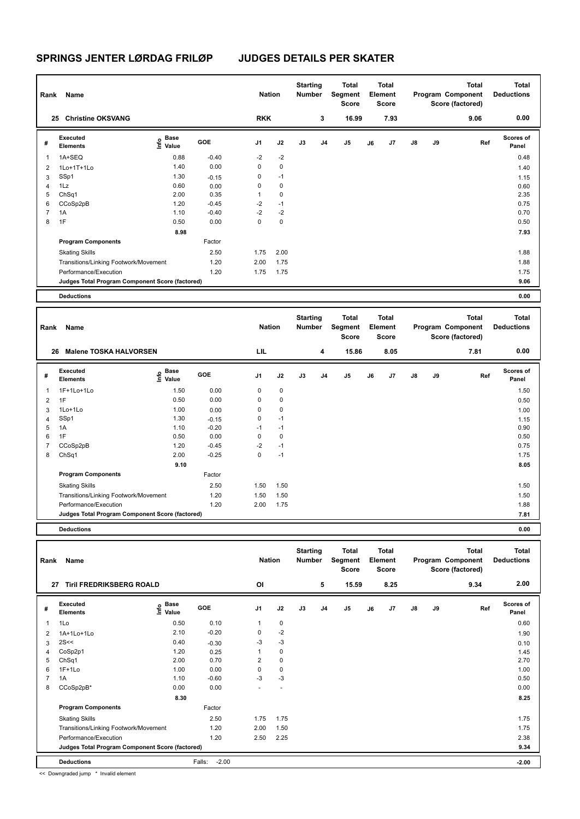| Rank           | Name                                            |                                  |            | <b>Nation</b> |             | <b>Starting</b><br><b>Number</b> |    | Total<br>Segment<br><b>Score</b> |    | Total<br>Element<br><b>Score</b> |               |    | <b>Total</b><br>Program Component<br>Score (factored) | <b>Total</b><br><b>Deductions</b> |
|----------------|-------------------------------------------------|----------------------------------|------------|---------------|-------------|----------------------------------|----|----------------------------------|----|----------------------------------|---------------|----|-------------------------------------------------------|-----------------------------------|
| 25             | <b>Christine OKSVANG</b>                        |                                  |            | <b>RKK</b>    |             |                                  | 3  | 16.99                            |    | 7.93                             |               |    | 9.06                                                  | 0.00                              |
| #              | Executed<br><b>Elements</b>                     | <b>Base</b><br>o Base<br>⊆ Value | <b>GOE</b> | J1            | J2          | J3                               | J4 | J <sub>5</sub>                   | J6 | J7                               | $\mathsf{J}8$ | J9 | Ref                                                   | <b>Scores of</b><br>Panel         |
| 1              | 1A+SEQ                                          | 0.88                             | $-0.40$    | $-2$          | $-2$        |                                  |    |                                  |    |                                  |               |    |                                                       | 0.48                              |
| 2              | 1Lo+1T+1Lo                                      | 1.40                             | 0.00       | 0             | $\mathbf 0$ |                                  |    |                                  |    |                                  |               |    |                                                       | 1.40                              |
| 3              | SSp1                                            | 1.30                             | $-0.15$    | 0             | $-1$        |                                  |    |                                  |    |                                  |               |    |                                                       | 1.15                              |
| $\overline{4}$ | 1Lz                                             | 0.60                             | 0.00       | 0             | 0           |                                  |    |                                  |    |                                  |               |    |                                                       | 0.60                              |
| 5              | ChSq1                                           | 2.00                             | 0.35       |               | 0           |                                  |    |                                  |    |                                  |               |    |                                                       | 2.35                              |
| 6              | CCoSp2pB                                        | 1.20                             | $-0.45$    | $-2$          | $-1$        |                                  |    |                                  |    |                                  |               |    |                                                       | 0.75                              |
| 7              | 1A                                              | 1.10                             | $-0.40$    | $-2$          | $-2$        |                                  |    |                                  |    |                                  |               |    |                                                       | 0.70                              |
| 8              | 1F                                              | 0.50                             | 0.00       | 0             | 0           |                                  |    |                                  |    |                                  |               |    |                                                       | 0.50                              |
|                |                                                 | 8.98                             |            |               |             |                                  |    |                                  |    |                                  |               |    |                                                       | 7.93                              |
|                | <b>Program Components</b>                       |                                  | Factor     |               |             |                                  |    |                                  |    |                                  |               |    |                                                       |                                   |
|                | <b>Skating Skills</b>                           |                                  | 2.50       | 1.75          | 2.00        |                                  |    |                                  |    |                                  |               |    |                                                       | 1.88                              |
|                | Transitions/Linking Footwork/Movement           |                                  | 1.20       | 2.00          | 1.75        |                                  |    |                                  |    |                                  |               |    |                                                       | 1.88                              |
|                | Performance/Execution                           |                                  | 1.20       | 1.75          | 1.75        |                                  |    |                                  |    |                                  |               |    |                                                       | 1.75                              |
|                | Judges Total Program Component Score (factored) |                                  |            |               |             |                                  |    |                                  |    |                                  |               |    |                                                       | 9.06                              |
|                | <b>Deductions</b>                               |                                  |            |               |             |                                  |    |                                  |    |                                  |               |    |                                                       | 0.00                              |

|                | Rank<br>Name                                    |                                           |            |                |             | <b>Starting</b><br><b>Number</b> |                | <b>Total</b><br>Segment<br><b>Score</b> | <b>Total</b><br>Element<br><b>Score</b> |      |               |    | <b>Total</b><br>Program Component<br>Score (factored) | <b>Total</b><br><b>Deductions</b> |
|----------------|-------------------------------------------------|-------------------------------------------|------------|----------------|-------------|----------------------------------|----------------|-----------------------------------------|-----------------------------------------|------|---------------|----|-------------------------------------------------------|-----------------------------------|
| 26             | <b>Malene TOSKA HALVORSEN</b>                   |                                           |            | LIL            |             |                                  | 4              | 15.86                                   |                                         | 8.05 |               |    | 7.81                                                  | 0.00                              |
| #              | Executed<br><b>Elements</b>                     | $\frac{6}{5}$ Base<br>$\frac{1}{5}$ Value | <b>GOE</b> | J <sub>1</sub> | J2          | J3                               | J <sub>4</sub> | J <sub>5</sub>                          | J6                                      | J7   | $\mathsf{J}8$ | J9 | Ref                                                   | <b>Scores of</b><br>Panel         |
|                | 1F+1Lo+1Lo                                      | 1.50                                      | 0.00       | 0              | 0           |                                  |                |                                         |                                         |      |               |    |                                                       | 1.50                              |
| $\overline{2}$ | 1F                                              | 0.50                                      | 0.00       | $\mathbf 0$    | $\pmb{0}$   |                                  |                |                                         |                                         |      |               |    |                                                       | 0.50                              |
| 3              | 1Lo+1Lo                                         | 1.00                                      | 0.00       | $\mathbf 0$    | $\pmb{0}$   |                                  |                |                                         |                                         |      |               |    |                                                       | 1.00                              |
| 4              | SSp1                                            | 1.30                                      | $-0.15$    | 0              | $-1$        |                                  |                |                                         |                                         |      |               |    |                                                       | 1.15                              |
| 5              | 1A                                              | 1.10                                      | $-0.20$    | $-1$           | $-1$        |                                  |                |                                         |                                         |      |               |    |                                                       | 0.90                              |
| 6              | 1F                                              | 0.50                                      | 0.00       | 0              | $\mathbf 0$ |                                  |                |                                         |                                         |      |               |    |                                                       | 0.50                              |
| $\overline{7}$ | CCoSp2pB                                        | 1.20                                      | $-0.45$    | $-2$           | $-1$        |                                  |                |                                         |                                         |      |               |    |                                                       | 0.75                              |
| 8              | ChSq1                                           | 2.00                                      | $-0.25$    | 0              | $-1$        |                                  |                |                                         |                                         |      |               |    |                                                       | 1.75                              |
|                |                                                 | 9.10                                      |            |                |             |                                  |                |                                         |                                         |      |               |    |                                                       | 8.05                              |
|                | <b>Program Components</b>                       |                                           | Factor     |                |             |                                  |                |                                         |                                         |      |               |    |                                                       |                                   |
|                | <b>Skating Skills</b>                           |                                           | 2.50       | 1.50           | 1.50        |                                  |                |                                         |                                         |      |               |    |                                                       | 1.50                              |
|                | Transitions/Linking Footwork/Movement           |                                           | 1.20       | 1.50           | 1.50        |                                  |                |                                         |                                         |      |               |    |                                                       | 1.50                              |
|                | Performance/Execution                           |                                           | 1.20       | 2.00           | 1.75        |                                  |                |                                         |                                         |      |               |    |                                                       | 1.88                              |
|                | Judges Total Program Component Score (factored) |                                           |            |                |             |                                  |                |                                         |                                         |      |               |    |                                                       | 7.81                              |
|                | <b>Deductions</b>                               |                                           |            |                |             |                                  |                |                                         |                                         |      |               |    |                                                       | 0.00                              |

**Total Deductions Total Program Component Score (factored) Total Element Segment Score Total Score Starting Rank Name Nation Number # Executed Elements Base Value GOE J1 J2 J3 J4 J5 J6 J7 J8 J9 Scores of Panel** 1 0.50 0.10 1 0 **Ref**  1Lo 0.60 **Info 27 Tiril FREDRIKSBERG ROALD OI 5 15.59 8.25 9.34 2.00** 2 1A+1Lo+1Lo 2.10 -0.20 0 -2 1.90  $3 \quad 2$ S<< 0.10  $0.40$   $-0.30$   $-3$   $-3$ 4 CoSp2p1 1.20 0.25 1 0 1.45 5 ChSq1 2.00 0.70 2 0 2.70 6 1F+1Lo 1.00 0.00 0 0 1.00  $7$  1A 1.10  $-0.60$   $-3$   $-3$ 8 CCoSp2pB\* 0.00 0.00 - - 0.00  **8.30 8.25 Program Components**  Skating Skills 1.75 1.75 1.75 Factor 2.50 1.75 Transitions/Linking Footwork/Movement 1.20 2.00 1.50 2.00 1.50 1.75 Performance/Execution 1.20 2.50 2.25 2.38 **Deductions** Falls: -2.00 **-2.00 Judges Total Program Component Score (factored) 9.34**

<< Downgraded jump \* Invalid element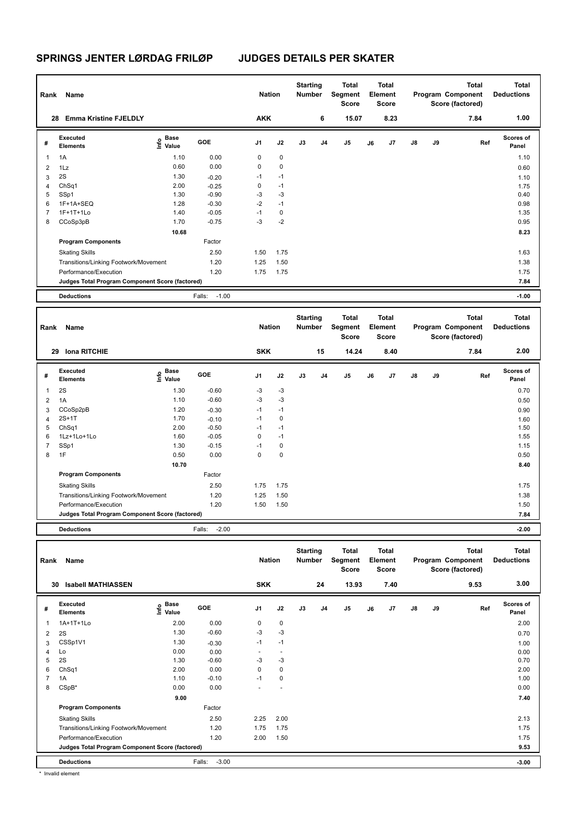| Rank           | Name                                            |                           |                   | <b>Nation</b>  |             | <b>Starting</b><br><b>Number</b> |    | <b>Total</b><br>Segment<br><b>Score</b> |    | <b>Total</b><br>Element<br>Score |               |    | <b>Total</b><br>Program Component<br>Score (factored) | <b>Total</b><br><b>Deductions</b> |
|----------------|-------------------------------------------------|---------------------------|-------------------|----------------|-------------|----------------------------------|----|-----------------------------------------|----|----------------------------------|---------------|----|-------------------------------------------------------|-----------------------------------|
| 28             | <b>Emma Kristine FJELDLY</b>                    |                           |                   | <b>AKK</b>     |             |                                  | 6  | 15.07                                   |    | 8.23                             |               |    | 7.84                                                  | 1.00                              |
| #              | Executed<br><b>Elements</b>                     | Base<br>o Base<br>⊆ Value | <b>GOE</b>        | J <sub>1</sub> | J2          | J3                               | J4 | J5                                      | J6 | J7                               | $\mathsf{J}8$ | J9 | Ref                                                   | <b>Scores of</b><br>Panel         |
| 1              | 1A                                              | 1.10                      | 0.00              | 0              | 0           |                                  |    |                                         |    |                                  |               |    |                                                       | 1.10                              |
| $\overline{2}$ | 1Lz                                             | 0.60                      | 0.00              | 0              | $\mathbf 0$ |                                  |    |                                         |    |                                  |               |    |                                                       | 0.60                              |
| 3              | 2S                                              | 1.30                      | $-0.20$           | $-1$           | $-1$        |                                  |    |                                         |    |                                  |               |    |                                                       | 1.10                              |
| 4              | ChSq1                                           | 2.00                      | $-0.25$           | 0              | $-1$        |                                  |    |                                         |    |                                  |               |    |                                                       | 1.75                              |
| 5              | SSp1                                            | 1.30                      | $-0.90$           | -3             | $-3$        |                                  |    |                                         |    |                                  |               |    |                                                       | 0.40                              |
| 6              | 1F+1A+SEQ                                       | 1.28                      | $-0.30$           | $-2$           | $-1$        |                                  |    |                                         |    |                                  |               |    |                                                       | 0.98                              |
|                | 1F+1T+1Lo                                       | 1.40                      | $-0.05$           | $-1$           | 0           |                                  |    |                                         |    |                                  |               |    |                                                       | 1.35                              |
| 8              | CCoSp3pB                                        | 1.70                      | $-0.75$           | $-3$           | $-2$        |                                  |    |                                         |    |                                  |               |    |                                                       | 0.95                              |
|                |                                                 | 10.68                     |                   |                |             |                                  |    |                                         |    |                                  |               |    |                                                       | 8.23                              |
|                | <b>Program Components</b>                       |                           | Factor            |                |             |                                  |    |                                         |    |                                  |               |    |                                                       |                                   |
|                | <b>Skating Skills</b>                           |                           | 2.50              | 1.50           | 1.75        |                                  |    |                                         |    |                                  |               |    |                                                       | 1.63                              |
|                | Transitions/Linking Footwork/Movement           |                           | 1.20              | 1.25           | 1.50        |                                  |    |                                         |    |                                  |               |    |                                                       | 1.38                              |
|                | Performance/Execution                           |                           | 1.20              | 1.75           | 1.75        |                                  |    |                                         |    |                                  |               |    |                                                       | 1.75                              |
|                | Judges Total Program Component Score (factored) |                           |                   |                |             |                                  |    |                                         |    |                                  |               |    |                                                       | 7.84                              |
|                | <b>Deductions</b>                               |                           | $-1.00$<br>Falls: |                |             |                                  |    |                                         |    |                                  |               |    |                                                       | $-1.00$                           |

| Rank           | Name                                            |                                  |                   | <b>Nation</b>  |             | <b>Starting</b><br>Number |                | <b>Total</b><br>Segment<br><b>Score</b> |    | Total<br>Element<br><b>Score</b> |               |    | <b>Total</b><br>Program Component<br>Score (factored) | Total<br><b>Deductions</b> |
|----------------|-------------------------------------------------|----------------------------------|-------------------|----------------|-------------|---------------------------|----------------|-----------------------------------------|----|----------------------------------|---------------|----|-------------------------------------------------------|----------------------------|
| 29             | <b>Iona RITCHIE</b>                             |                                  |                   | <b>SKK</b>     |             |                           | 15             | 14.24                                   |    | 8.40                             |               |    | 7.84                                                  | 2.00                       |
| #              | Executed<br><b>Elements</b>                     | <b>Base</b><br>o Base<br>⊆ Value | GOE               | J <sub>1</sub> | J2          | J3                        | J <sub>4</sub> | J <sub>5</sub>                          | J6 | J7                               | $\mathsf{J}8$ | J9 | Ref                                                   | <b>Scores of</b><br>Panel  |
| 1              | 2S                                              | 1.30                             | $-0.60$           | $-3$           | $-3$        |                           |                |                                         |    |                                  |               |    |                                                       | 0.70                       |
| $\overline{2}$ | 1A                                              | 1.10                             | $-0.60$           | $-3$           | $-3$        |                           |                |                                         |    |                                  |               |    |                                                       | 0.50                       |
| 3              | CCoSp2pB                                        | 1.20                             | $-0.30$           | $-1$           | $-1$        |                           |                |                                         |    |                                  |               |    |                                                       | 0.90                       |
| $\overline{4}$ | $2S+1T$                                         | 1.70                             | $-0.10$           | $-1$           | 0           |                           |                |                                         |    |                                  |               |    |                                                       | 1.60                       |
| 5              | ChSq1                                           | 2.00                             | $-0.50$           | $-1$           | $-1$        |                           |                |                                         |    |                                  |               |    |                                                       | 1.50                       |
| 6              | 1Lz+1Lo+1Lo                                     | 1.60                             | $-0.05$           | $\mathbf 0$    | $-1$        |                           |                |                                         |    |                                  |               |    |                                                       | 1.55                       |
| $\overline{7}$ | SSp1                                            | 1.30                             | $-0.15$           | $-1$           | 0           |                           |                |                                         |    |                                  |               |    |                                                       | 1.15                       |
| 8              | 1F                                              | 0.50                             | 0.00              | 0              | $\mathbf 0$ |                           |                |                                         |    |                                  |               |    |                                                       | 0.50                       |
|                |                                                 | 10.70                            |                   |                |             |                           |                |                                         |    |                                  |               |    |                                                       | 8.40                       |
|                | <b>Program Components</b>                       |                                  | Factor            |                |             |                           |                |                                         |    |                                  |               |    |                                                       |                            |
|                | <b>Skating Skills</b>                           |                                  | 2.50              | 1.75           | 1.75        |                           |                |                                         |    |                                  |               |    |                                                       | 1.75                       |
|                | Transitions/Linking Footwork/Movement           |                                  | 1.20              | 1.25           | 1.50        |                           |                |                                         |    |                                  |               |    |                                                       | 1.38                       |
|                | Performance/Execution                           |                                  | 1.20              | 1.50           | 1.50        |                           |                |                                         |    |                                  |               |    |                                                       | 1.50                       |
|                | Judges Total Program Component Score (factored) |                                  |                   |                |             |                           |                |                                         |    |                                  |               |    |                                                       | 7.84                       |
|                | <b>Deductions</b>                               |                                  | $-2.00$<br>Falls: |                |             |                           |                |                                         |    |                                  |               |    |                                                       | $-2.00$                    |

| Rank | Name                                            |                                  |                   | <b>Nation</b>  |                          | <b>Starting</b><br>Number |    | <b>Total</b><br>Segment<br><b>Score</b> |    | <b>Total</b><br>Element<br><b>Score</b> |               |    | <b>Total</b><br>Program Component<br>Score (factored) | <b>Total</b><br><b>Deductions</b> |
|------|-------------------------------------------------|----------------------------------|-------------------|----------------|--------------------------|---------------------------|----|-----------------------------------------|----|-----------------------------------------|---------------|----|-------------------------------------------------------|-----------------------------------|
| 30   | <b>Isabell MATHIASSEN</b>                       |                                  |                   | <b>SKK</b>     |                          |                           | 24 | 13.93                                   |    | 7.40                                    |               |    | 9.53                                                  | 3.00                              |
| #    | Executed<br><b>Elements</b>                     | <b>Base</b><br>o Base<br>⊆ Value | <b>GOE</b>        | J <sub>1</sub> | J2                       | J3                        | J4 | J <sub>5</sub>                          | J6 | J7                                      | $\mathsf{J}8$ | J9 | Ref                                                   | <b>Scores of</b><br>Panel         |
| 1    | 1A+1T+1Lo                                       | 2.00                             | 0.00              | 0              | $\mathbf 0$              |                           |    |                                         |    |                                         |               |    |                                                       | 2.00                              |
| 2    | 2S                                              | 1.30                             | $-0.60$           | $-3$           | $-3$                     |                           |    |                                         |    |                                         |               |    |                                                       | 0.70                              |
| 3    | CSSp1V1                                         | 1.30                             | $-0.30$           | $-1$           | $-1$                     |                           |    |                                         |    |                                         |               |    |                                                       | 1.00                              |
| 4    | Lo                                              | 0.00                             | 0.00              |                | $\overline{\phantom{a}}$ |                           |    |                                         |    |                                         |               |    |                                                       | 0.00                              |
| 5    | 2S                                              | 1.30                             | $-0.60$           | $-3$           | $-3$                     |                           |    |                                         |    |                                         |               |    |                                                       | 0.70                              |
| 6    | ChSq1                                           | 2.00                             | 0.00              | 0              | 0                        |                           |    |                                         |    |                                         |               |    |                                                       | 2.00                              |
| 7    | 1A                                              | 1.10                             | $-0.10$           | $-1$           | 0                        |                           |    |                                         |    |                                         |               |    |                                                       | 1.00                              |
| 8    | CSpB*                                           | 0.00                             | 0.00              |                |                          |                           |    |                                         |    |                                         |               |    |                                                       | 0.00                              |
|      |                                                 | 9.00                             |                   |                |                          |                           |    |                                         |    |                                         |               |    |                                                       | 7.40                              |
|      | <b>Program Components</b>                       |                                  | Factor            |                |                          |                           |    |                                         |    |                                         |               |    |                                                       |                                   |
|      | <b>Skating Skills</b>                           |                                  | 2.50              | 2.25           | 2.00                     |                           |    |                                         |    |                                         |               |    |                                                       | 2.13                              |
|      | Transitions/Linking Footwork/Movement           |                                  | 1.20              | 1.75           | 1.75                     |                           |    |                                         |    |                                         |               |    |                                                       | 1.75                              |
|      | Performance/Execution                           |                                  | 1.20              | 2.00           | 1.50                     |                           |    |                                         |    |                                         |               |    |                                                       | 1.75                              |
|      | Judges Total Program Component Score (factored) |                                  |                   |                |                          |                           |    |                                         |    |                                         |               |    |                                                       | 9.53                              |
|      | <b>Deductions</b>                               |                                  | $-3.00$<br>Falls: |                |                          |                           |    |                                         |    |                                         |               |    |                                                       | $-3.00$                           |

\* Invalid element